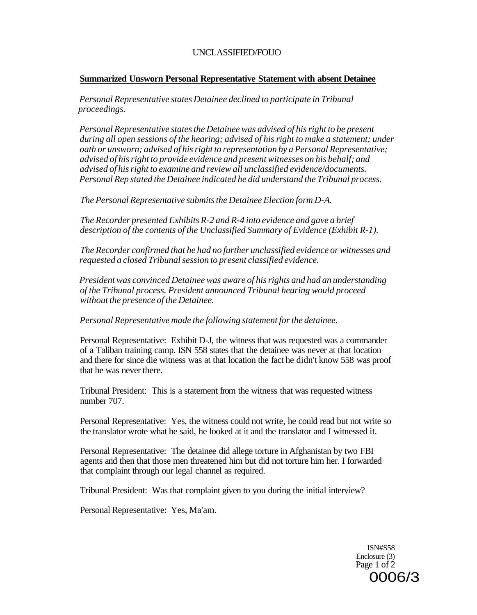### UNCLASSIFIED/FOUO

### **Summarized Unsworn Personal Representative Statement with absent Detainee**

*Personal Representative states Detainee declined to participate in Tribunal proceedings.* 

*Personal Representative states the Detainee was advised of his right to be present during all open sessions of the hearing; advised of his right to make a statement; under oath or unsworn; advised of his right to representation by a Personal Representative; advised of his right to provide evidence and present witnesses on his behalf; and advised of his right to examine and review all unclassified evidence/documents. Personal Rep stated the Detainee indicated he did understand the Tribunal process.* 

*The Personal Representative submits the Detainee Election form D-A.* 

*The Recorder presented Exhibits R-2 and R-4 into evidence and gave a brief description of the contents of the Unclassified Summary of Evidence (Exhibit R-1).* 

*The Recorder confirmed that he had no further unclassified evidence or witnesses and requested a closed Tribunal session to present classified evidence.* 

*President was convinced Detainee was aware of his rights and had an understanding of the Tribunal process. President announced Tribunal hearing would proceed without the presence of the Detainee.* 

### *Personal Representative made the following statement for the detainee.*

Personal Representative: Exhibit D-J, the witness that was requested was a commander of a Taliban training camp. ISN 558 states that the detainee was never at that location and there for since die witness was at that location the fact he didn't know 558 was proof that he was never there.

Tribunal President: This is a statement from the witness that was requested witness number 707.

Personal Representative: Yes, the witness could not write, he could read but not write so the translator wrote what he said, he looked at it and the translator and I witnessed it.

Personal Representative: The detainee did allege torture in Afghanistan by two FBI agents arid then that those men threatened him but did not torture him her. I forwarded that complaint through our legal channel as required.

Tribunal President: Was that complaint given to you during the initial interview?

Personal Representative: Yes, Ma'am.

ISN#S58 Enclosure (3) Page 1 of 2 0006/3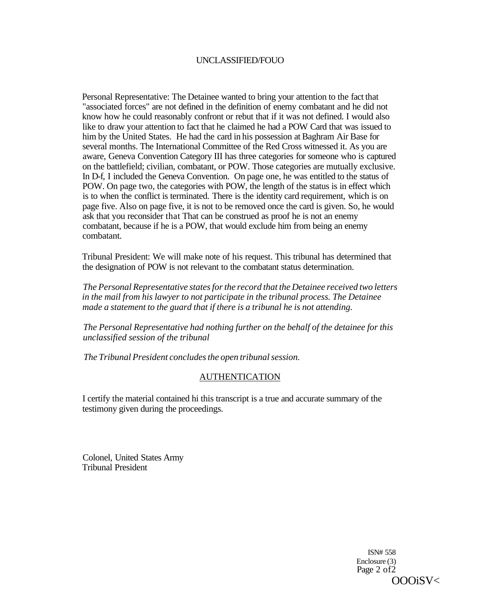### UNCLASSIFIED/FOUO

Personal Representative: The Detainee wanted to bring your attention to the fact that "associated forces" are not defined in the definition of enemy combatant and he did not know how he could reasonably confront or rebut that if it was not defined. I would also like to draw your attention to fact that he claimed he had a POW Card that was issued to him by the United States. He had the card in his possession at Baghram Air Base for several months. The International Committee of the Red Cross witnessed it. As you are aware, Geneva Convention Category III has three categories for someone who is captured on the battlefield; civilian, combatant, or POW. Those categories are mutually exclusive. In D-f, I included the Geneva Convention. On page one, he was entitled to the status of POW. On page two, the categories with POW, the length of the status is in effect which is to when the conflict is terminated. There is the identity card requirement, which is on page five. Also on page five, it is not to be removed once the card is given. So, he would ask that you reconsider that That can be construed as proof he is not an enemy combatant, because if he is a POW, that would exclude him from being an enemy combatant.

Tribunal President: We will make note of his request. This tribunal has determined that the designation of POW is not relevant to the combatant status determination.

*The Personal Representative states for the record that the Detainee received two letters in the mail from his lawyer to not participate in the tribunal process. The Detainee made a statement to the guard that if there is a tribunal he is not attending.* 

*The Personal Representative had nothing further on the behalf of the detainee for this unclassified session of the tribunal* 

*The Tribunal President concludes the open tribunal session.* 

### AUTHENTICATION

I certify the material contained hi this transcript is a true and accurate summary of the testimony given during the proceedings.

Colonel, United States Army Tribunal President

> ISN# 558 Enclosure (3) Page 2 of2 OOOiSV<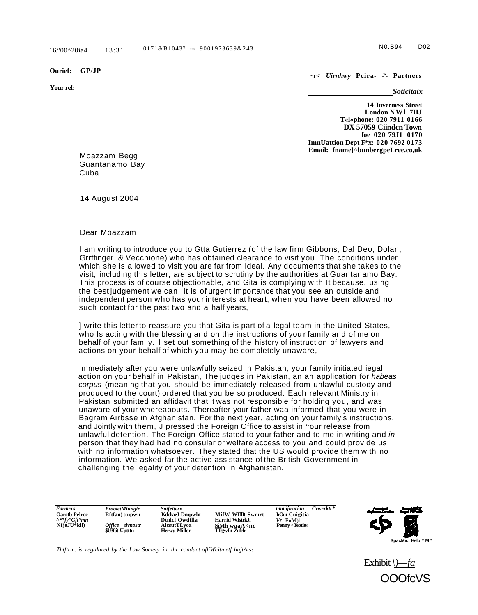16/'00^20ia4 13:31

#### **Ourief: GP/JP**

**Your ref:** 

*~r< Uirnhwy* **Pcira- - w - Partners** 

*Soticitaix* 

**14 Inverness Street London NWl 7HJ T«l«phone: 020 7911 0166 DX 57059 Ciindcn Town foe 020 79J1 0170 ImnUattion Dept F\*x: 020 7692 0173 Email: fname]^bunbergpeLree.co,uk** 

Moazzam Begg Guantanamo Bay Cuba

14 August 2004

#### Dear Moazzam

I am writing to introduce you to Gtta Gutierrez (of the law firm Gibbons, Dal Deo, Dolan, Grrffinger. & Vecchione) who has obtained clearance to visit you. The conditions under which she is allowed to visit you are far from Ideal. Any documents that she takes to the visit, including this letter, are subject to scrutiny by the authorities at Guantanamo Bay. This process is of course objectionable, and Gita is complying with It because, using the best judgement we can, it is of urgent importance that you see an outside and independent person who has your interests at heart, when you have been allowed no such contact for the past two and a half years,

] write this letter to reassure you that Gita is part of a legal team in the United States, who Is acting with the blessing and on the instructions of you r family and of me on behalf of your family. I set out something of the history of instruction of lawyers and actions on your behalf of which you may be completely unaware,

Immediately after you were unlawfully seized in Pakistan, your family initiated iegal action on your behalf in Pakistan, The judges in Pakistan, an an application for habeas corpus (meaning that you should be immediately released from unlawful custody and produced to the court) ordered that you be so produced. Each relevant Ministry in Pakistan submitted an affidavit that it was not responsible for holding you, and was unaware of your whereabouts. Thereafter your father waa informed that you were in Bagram Airbsse in Afghanistan. For the next year, acting on your family's instructions, and Jointly with them, J pressed the Foreign Office to assist in ^our release from unlawful detention. The Foreign Office stated to your father and to me in writing and in person that they had had no consular or welfare access to you and could provide us with no information whatsoever. They stated that the US would provide them with no information. We asked far the active assistance of the British Government in challenging the legality of your detention in Afghanistan.

*Office tivnostr* **Dtnlcl Owdilla** *Office tivnostr AlcsutTLvoa* 

**NIjeJU\*kii)** *Office tivnostr* **AlcsutTLyoa SiMh waaA<nc Penny <3eotle» Herwy Miller** 

*Farmers ProoietMinngir Sotfeiterx tmmijirarian Cvwerktr\**  **Oarctb Pelrce Rftfan) ttnpwn KdchaeJ Dmpwht MifW WTIIIt Swmrt IrOm Cuigitia**<br>  $\begin{array}{ccc}\n\lambda^* * f y^* G f f^* m n \\
\lambda^* f y^* G f f^* m n\n\end{array}$  Dthlel Owdilla Harrid WistrkJi  $V_r$  F«M)l<br>
NIjeJU\*kii) Office tivnostr AlcsutTLyoa SiMh waaA<n



*Thtftrm. is regalared by the Law Society in ihr conduct ofliWcitmetf hujtAtss* 

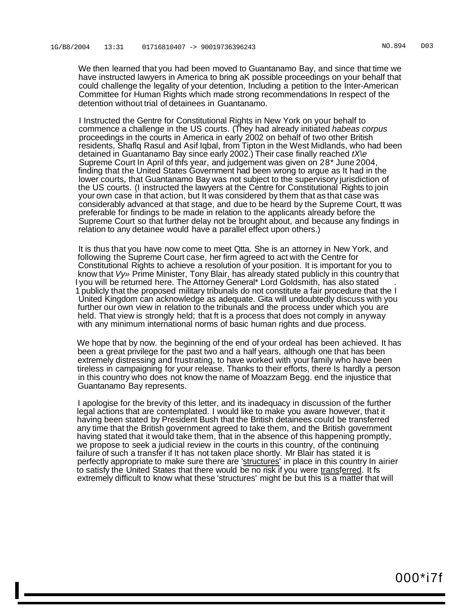We then learned that you had been moved to Guantanamo Bay, and since that time we have instructed lawyers in America to bring aK possible proceedings on your behalf that could challenge the legality of your detention, Including a petition to the Inter-American Committee for Human Rights which made strong recommendations In respect of the detention without trial of detainees in Guantanamo.

I Instructed the Gentre for Constitutional Rights in New York on your behalf to commence a challenge in the US courts. (They had already initiated habeas corpus proceedings in the courts in America in early 2002 on behalf of two other British residents, Shaflq Rasul and Asif Iqbal, from Tipton in the West Midlands, who had been detained in Guantanamo Bay since early 2002.) Their case finally reached  $tX\leq$ Supreme Court In April of this year, and judgement was given on 28<sup>\*</sup> June 2004, finding that the United States Government had been wrong to argue as It had in the lower courts, that Guantanamo Bay was not subject to the supervisory jurisdiction of the US courts. (I instructed the lawyers at the Centre for Constitutional Rights to join your own case in that action, but It was considered by them that as that case was considerably advanced at that stage, and due to be heard by the Supreme Court, tt was preferable for findings to be made in relation to the applicants already before the Supreme Court so that further delay not be brought about, and because any findings in relation to any detainee would have a parallel effect upon others.)

It is thus that you have now come to meet Qtta. She is an attorney in New York, and following the Supreme Court case, her firm agreed to act with the Centre for Constitutional Rights to achieve a resolution of your position. It is important for you to know that Vy» Prime Minister, Tony Blair, has already stated publicly in this country that I you will be returned here. The Attorney General\* Lord Goldsmith, has also stated in the 1 publicly that the proposed military tribunals do not constitute a fair procedure that the I United Kingdom can acknowledge as adequate. Gita will undoubtedly discuss with you further our own view in relation to the tribunals and the process under which you are held. That view is strongly held; that ft is a process that does not comply in anyway with any minimum international norms of basic human rights and due process.

We hope that by now. the beginning of the end of your ordeal has been achieved. It has been a great privilege for the past two and a half years, although one that has been extremely distressing and frustrating, to have worked with your family who have been tireless in campaigning for your release. Thanks to their efforts, there Is hardly a person in this country who does not know the name of Moazzam Begg. end the injustice that Guantanamo Bay represents.

I apologise for the brevity of this letter, and its inadequacy in discussion of the further legal actions that are contemplated. I would like to make you aware however, that it having been stated by President Bush that the British detainees could be transferred any time that the British government agreed to take them, and the British government having stated that it would take them, that in the absence of this happening promptly, we propose to seek a judicial review in the courts in this country, of the continuing failure of such a transfer if It has not taken place shortly. Mr Blair has stated it is perfectly appropriate to make sure there are 'structures' in place in this country In airier to satisfy the United States that there would be no risk if you were transferred. It fs extremely difficult to know what these 'structures' might be but this is a matter that will

000\*i7f **I**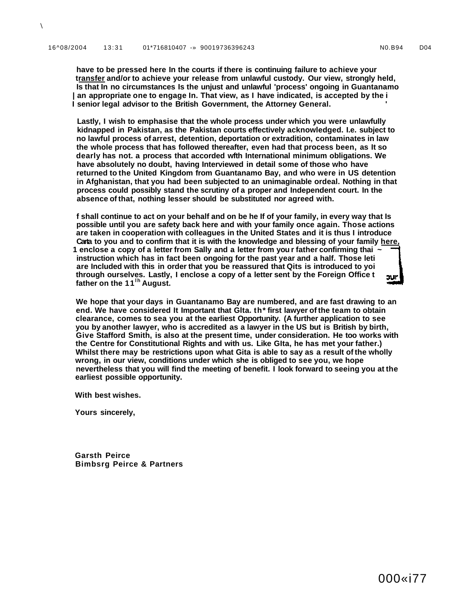**have to be pressed here In the courts if there is continuing failure to achieve your transfer and/or to achieve your release from unlawful custody. Our view, strongly held, Is that In no circumstances Is the unjust and unlawful 'process' ongoing in Guantanamo | an appropriate one to engage In. That view, as I have indicated, is accepted by the i I senior legal advisor to the British Government, the Attorney General.** 

**Lastly, I wish to emphasise that the whole process under which you were unlawfully kidnapped in Pakistan, as the Pakistan courts effectively acknowledged. I.e. subject to no lawful process of arrest, detention, deportation or extradition, contaminates in law the whole process that has followed thereafter, even had that process been, as It so dearly has not. a process that accorded wfth International minimum obligations. We have absolutely no doubt, having Interviewed in detail some of those who have returned to the United Kingdom from Guantanamo Bay, and who were in US detention in Afghanistan, that you had been subjected to an unimaginable ordeal. Nothing in that process could possibly stand the scrutiny of a proper and Independent court. In the absence of that, nothing lesser should be substituted nor agreed with.** 

**f shall continue to act on your behalf and on be he If of your family, in every way that Is possible until you are safety back here and with your family once again. Those actions are taken in cooperation with colleagues in the United States and it is thus I introduce Carta to you and to confirm that it is with the knowledge and blessing of your family here, 1 enclose a copy of a letter from Sally and a letter from you r father confirming thai ~ instruction which has in fact been ongoing for the past year and a half. Those leti are Included with this in order that you be reassured that Qits is introduced to yoi through ourselves. Lastly, I enclose a copy of a letter sent by the Foreign Office t nur father on the 11<sup>l</sup> <sup>h</sup> August.** 

**We hope that your days in Guantanamo Bay are numbered, and are fast drawing to an end. We have considered It Important that Glta. th\* first lawyer of the team to obtain clearance, comes to sea you at the earliest Opportunity. (A further application to see you by another lawyer, who is accredited as a lawyer in the US but is British by birth, Give Stafford Smith, is also at the present time, under consideration. He too works with the Centre for Constitutional Rights and with us. Like GIta, he has met your father.) Whilst there may be restrictions upon what Gita is able to say as a result of the wholly wrong, in our view, conditions under which she is obliged to see you, we hope nevertheless that you will find the meeting of benefit. I look forward to seeing you at the earliest possible opportunity.** 

**With best wishes.** 

**Yours sincerely,** 

**Garsth Peirce Bimbsrg Peirce & Partners**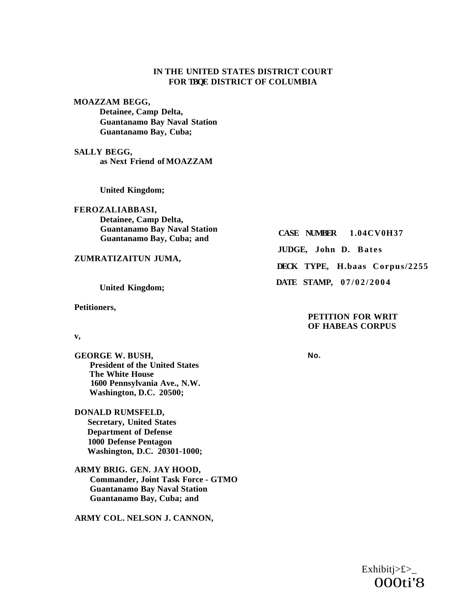### **IN THE UNITED STATES DISTRICT COURT FOR TBQE DISTRICT OF COLUMBIA**

**MOAZZAM BEGG,** 

**Detainee, Camp Delta, Guantanamo Bay Naval Station Guantanamo Bay, Cuba;** 

**SALLY BEGG, as Next Friend of MOAZZAM** 

**United Kingdom;** 

**FEROZALIABBASI, Detainee, Camp Delta, Guantanamo Bay Naval Station Guantanamo Bay, Cuba; and** 

**ZUMRATIZAITUN JUMA,** 

**United Kingdom;** 

**Petitioners,** 

**v,** 

**GEORGE W. BUSH, President of the United States The White House 1600 Pennsylvania Ave., N.W. Washington, D.C. 20500;** 

**DONALD RUMSFELD, Secretary, United States Department of Defense 1000 Defense Pentagon Washington, D.C. 20301-1000;** 

**ARMY BRIG. GEN. JAY HOOD, Commander, Joint Task Force - GTMO Guantanamo Bay Naval Station Guantanamo Bay, Cuba; and** 

**ARMY COL. NELSON J. CANNON,** 

**CASE NUMBER 1.04CV0H37 JUDGE, John D. Bates** 

**DECK TYPE, H.baas Corpus/2255** 

**DATE STAMP, 07/02/200 4** 

### **PETITION FOR WRIT OF HABEAS CORPUS**

**No.** 

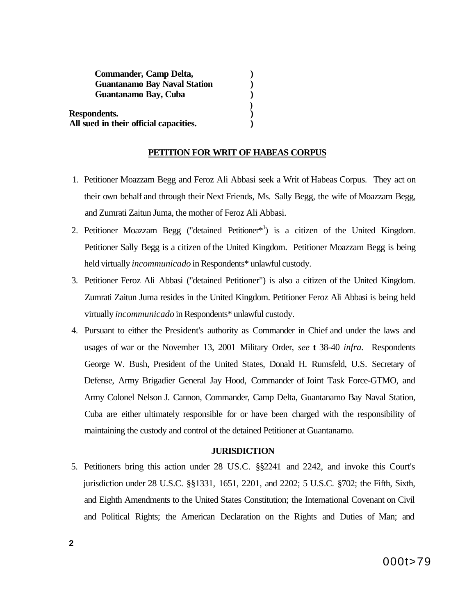| Commander, Camp Delta,                 |  |  |
|----------------------------------------|--|--|
| <b>Guantanamo Bay Naval Station</b>    |  |  |
| Guantanamo Bay, Cuba                   |  |  |
| Respondents.                           |  |  |
| All sued in their official capacities. |  |  |

### **PETITION FOR WRIT OF HABEAS CORPUS**

- 1. Petitioner Moazzam Begg and Feroz Ali Abbasi seek a Writ of Habeas Corpus. They act on their own behalf and through their Next Friends, Ms. Sally Begg, the wife of Moazzam Begg, and Zumrati Zaitun Juma, the mother of Feroz Ali Abbasi.
- 2. Petitioner Moazzam Begg ("detained Petitioner\*<sup>1</sup>) is a citizen of the United Kingdom. Petitioner Sally Begg is a citizen of the United Kingdom. Petitioner Moazzam Begg is being held virtually *incommunicado* in Respondents\* unlawful custody.
- 3. Petitioner Feroz Ali Abbasi ("detained Petitioner") is also a citizen of the United Kingdom. Zumrati Zaitun Juma resides in the United Kingdom. Petitioner Feroz Ali Abbasi is being held virtually *incommunicado* in Respondents\* unlawful custody.
- 4. Pursuant to either the President's authority as Commander in Chief and under the laws and usages of war or the November 13, 2001 Military Order, *see* **t** 38-40 *infra.* Respondents George W. Bush, President of the United States, Donald H. Rumsfeld, U.S. Secretary of Defense, Army Brigadier General Jay Hood, Commander of Joint Task Force-GTMO, and Army Colonel Nelson J. Cannon, Commander, Camp Delta, Guantanamo Bay Naval Station, Cuba are either ultimately responsible for or have been charged with the responsibility of maintaining the custody and control of the detained Petitioner at Guantanamo.

### **JURISDICTION**

5. Petitioners bring this action under 28 US.C. §§2241 and 2242, and invoke this Court's jurisdiction under 28 U.S.C. §§1331, 1651, 2201, and 2202; 5 U.S.C. §702; the Fifth, Sixth, and Eighth Amendments to the United States Constitution; the International Covenant on Civil and Political Rights; the American Declaration on the Rights and Duties of Man; and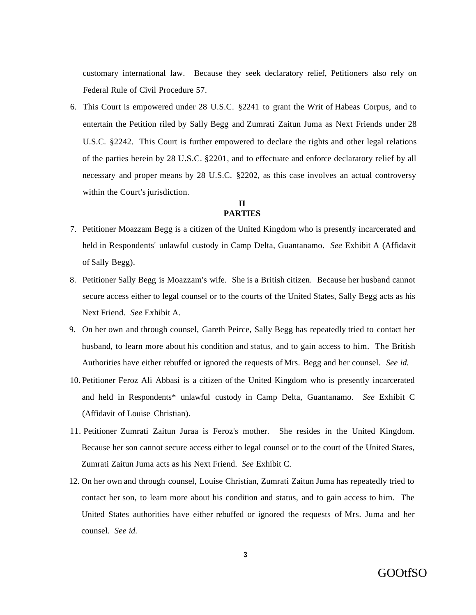customary international law. Because they seek declaratory relief, Petitioners also rely on Federal Rule of Civil Procedure 57.

6. This Court is empowered under 28 U.S.C. §2241 to grant the Writ of Habeas Corpus, and to entertain the Petition riled by Sally Begg and Zumrati Zaitun Juma as Next Friends under 28 U.S.C. §2242. This Court is further empowered to declare the rights and other legal relations of the parties herein by 28 U.S.C. §2201, and to effectuate and enforce declaratory relief by all necessary and proper means by 28 U.S.C. §2202, as this case involves an actual controversy within the Court's jurisdiction.

#### **II PARTIES**

- 7. Petitioner Moazzam Begg is a citizen of the United Kingdom who is presently incarcerated and held in Respondents' unlawful custody in Camp Delta, Guantanamo. *See* Exhibit A (Affidavit of Sally Begg).
- 8. Petitioner Sally Begg is Moazzam's wife. She is a British citizen. Because her husband cannot secure access either to legal counsel or to the courts of the United States, Sally Begg acts as his Next Friend. *See* Exhibit A.
- 9. On her own and through counsel, Gareth Peirce, Sally Begg has repeatedly tried to contact her husband, to learn more about his condition and status, and to gain access to him. The British Authorities have either rebuffed or ignored the requests of Mrs. Begg and her counsel. *See id.*
- 10. Petitioner Feroz Ali Abbasi is a citizen of the United Kingdom who is presently incarcerated and held in Respondents\* unlawful custody in Camp Delta, Guantanamo. *See* Exhibit C (Affidavit of Louise Christian).
- 11. Petitioner Zumrati Zaitun Juraa is Feroz's mother. She resides in the United Kingdom. Because her son cannot secure access either to legal counsel or to the court of the United States, Zumrati Zaitun Juma acts as his Next Friend. *See* Exhibit C.
- 12. On her own and through counsel, Louise Christian, Zumrati Zaitun Juma has repeatedly tried to contact her son, to learn more about his condition and status, and to gain access to him. The United States authorities have either rebuffed or ignored the requests of Mrs. Juma and her counsel. *See id.*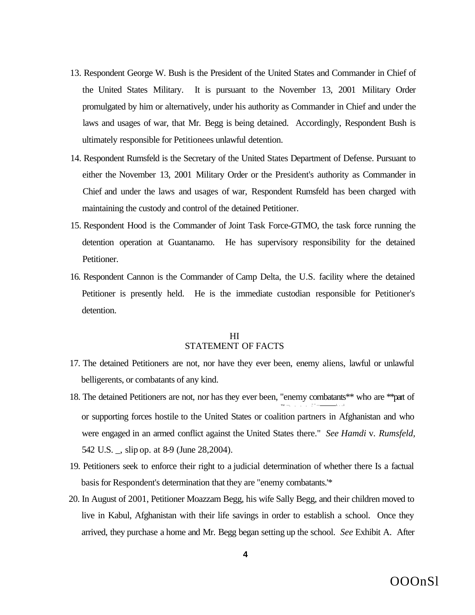- 13. Respondent George W. Bush is the President of the United States and Commander in Chief of the United States Military. It is pursuant to the November 13, 2001 Military Order promulgated by him or alternatively, under his authority as Commander in Chief and under the laws and usages of war, that Mr. Begg is being detained. Accordingly, Respondent Bush is ultimately responsible for Petitionees unlawful detention.
- 14. Respondent Rumsfeld is the Secretary of the United States Department of Defense. Pursuant to either the November 13, 2001 Military Order or the President's authority as Commander in Chief and under the laws and usages of war, Respondent Rumsfeld has been charged with maintaining the custody and control of the detained Petitioner.
- 15. Respondent Hood is the Commander of Joint Task Force-GTMO, the task force running the detention operation at Guantanamo. He has supervisory responsibility for the detained Petitioner.
- 16. Respondent Cannon is the Commander of Camp Delta, the U.S. facility where the detained Petitioner is presently held. He is the immediate custodian responsible for Petitioner's detention.

### HI STATEMENT OF FACTS

- 17. The detained Petitioners are not, nor have they ever been, enemy aliens, lawful or unlawful belligerents, or combatants of any kind.
- 18. The detained Petitioners are not, nor has they ever been, "enemy combatants\*\* who are \*\*part of *•ra* — "" — i. . ..i or supporting forces hostile to the United States or coalition partners in Afghanistan and who were engaged in an armed conflict against the United States there." *See Hamdi* v. *Rumsfeld,*  542 U.S. \_, slip op. at 8-9 (June 28,2004).
- 19. Petitioners seek to enforce their right to a judicial determination of whether there Is a factual basis for Respondent's determination that they are "enemy combatants.'\*
- 20. In August of 2001, Petitioner Moazzam Begg, his wife Sally Begg, and their children moved to live in Kabul, Afghanistan with their life savings in order to establish a school. Once they arrived, they purchase a home and Mr. Begg began setting up the school. *See* Exhibit A. After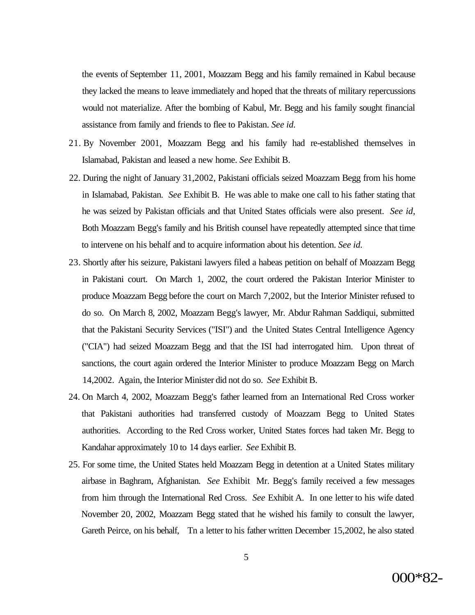the events of September 11, 2001, Moazzam Begg and his family remained in Kabul because they lacked the means to leave immediately and hoped that the threats of military repercussions would not materialize. After the bombing of Kabul, Mr. Begg and his family sought financial assistance from family and friends to flee to Pakistan. *See id.* 

- 21. By November 2001, Moazzam Begg and his family had re-established themselves in Islamabad, Pakistan and leased a new home. *See* Exhibit B.
- 22. During the night of January 31,2002, Pakistani officials seized Moazzam Begg from his home in Islamabad, Pakistan. *See* Exhibit B. He was able to make one call to his father stating that he was seized by Pakistan officials and that United States officials were also present. *See id,*  Both Moazzam Begg's family and his British counsel have repeatedly attempted since that time to intervene on his behalf and to acquire information about his detention. *See id.*
- 23. Shortly after his seizure, Pakistani lawyers filed a habeas petition on behalf of Moazzam Begg in Pakistani court. On March 1, 2002, the court ordered the Pakistan Interior Minister to produce Moazzam Begg before the court on March 7,2002, but the Interior Minister refused to do so. On March 8, 2002, Moazzam Begg's lawyer, Mr. Abdur Rahman Saddiqui, submitted that the Pakistani Security Services ("ISI") and the United States Central Intelligence Agency ("CIA") had seized Moazzam Begg and that the ISI had interrogated him. Upon threat of sanctions, the court again ordered the Interior Minister to produce Moazzam Begg on March 14,2002. Again, the Interior Minister did not do so. *See* Exhibit B.
- 24. On March 4, 2002, Moazzam Begg's father learned from an International Red Cross worker that Pakistani authorities had transferred custody of Moazzam Begg to United States authorities. According to the Red Cross worker, United States forces had taken Mr. Begg to Kandahar approximately 10 to 14 days earlier. *See* Exhibit B.
- 25. For some time, the United States held Moazzam Begg in detention at a United States military airbase in Baghram, Afghanistan. *See* Exhibit Mr. Begg's family received a few messages from him through the International Red Cross. *See* Exhibit A. In one letter to his wife dated November 20, 2002, Moazzam Begg stated that he wished his family to consult the lawyer, Gareth Peirce, on his behalf, Tn a letter to his father written December 15,2002, he also stated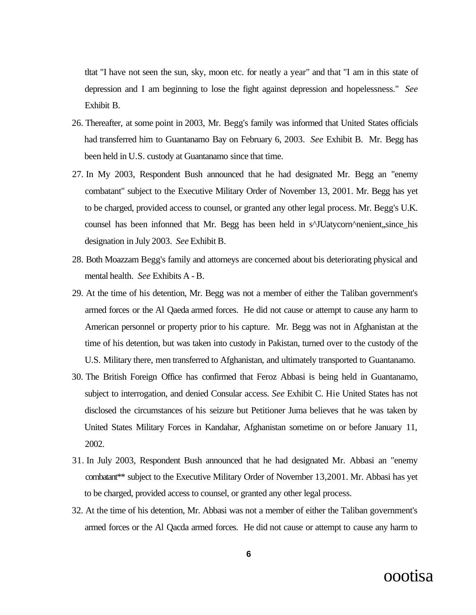tltat "I have not seen the sun, sky, moon etc. for neatly a year" and that "I am in this state of depression and I am beginning to lose the fight against depression and hopelessness." *See*  Exhibit B.

- 26. Thereafter, at some point in 2003, Mr. Begg's family was informed that United States officials had transferred him to Guantanamo Bay on February 6, 2003. *See* Exhibit B. Mr. Begg has been held in U.S. custody at Guantanamo since that time.
- 27. In My 2003, Respondent Bush announced that he had designated Mr. Begg an "enemy combatant" subject to the Executive Military Order of November 13, 2001. Mr. Begg has yet to be charged, provided access to counsel, or granted any other legal process. Mr. Begg's U.K. counsel has been infonned that Mr. Begg has been held in s^JUatycorn^nenient, since his designation in July 2003. *See* Exhibit B.
- 28. Both Moazzam Begg's family and attorneys are concerned about bis deteriorating physical and mental health. *See* Exhibits A - B.
- 29. At the time of his detention, Mr. Begg was not a member of either the Taliban government's armed forces or the Al Qaeda armed forces. He did not cause or attempt to cause any harm to American personnel or property prior to his capture. Mr. Begg was not in Afghanistan at the time of his detention, but was taken into custody in Pakistan, turned over to the custody of the U.S. Military there, men transferred to Afghanistan, and ultimately transported to Guantanamo.
- 30. The British Foreign Office has confirmed that Feroz Abbasi is being held in Guantanamo, subject to interrogation, and denied Consular access. *See* Exhibit C. Hie United States has not disclosed the circumstances of his seizure but Petitioner Juma believes that he was taken by United States Military Forces in Kandahar, Afghanistan sometime on or before January 11, 2002.
- 31. In July 2003, Respondent Bush announced that he had designated Mr. Abbasi an "enemy combatant\*\* subject to the Executive Military Order of November 13,2001. Mr. Abbasi has yet to be charged, provided access to counsel, or granted any other legal process.
- 32. At the time of his detention, Mr. Abbasi was not a member of either the Taliban government's armed forces or the Al Qacda armed forces. He did not cause or attempt to cause any harm to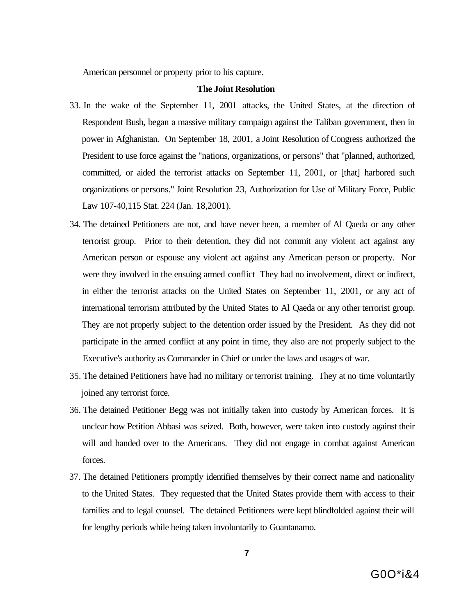American personnel or property prior to his capture.

### **The Joint Resolution**

- 33. In the wake of the September 11, 2001 attacks, the United States, at the direction of Respondent Bush, began a massive military campaign against the Taliban government, then in power in Afghanistan. On September 18, 2001, a Joint Resolution of Congress authorized the President to use force against the "nations, organizations, or persons" that "planned, authorized, committed, or aided the terrorist attacks on September 11, 2001, or [that] harbored such organizations or persons." Joint Resolution 23, Authorization for Use of Military Force, Public Law 107-40,115 Stat. 224 (Jan. 18,2001).
- 34. The detained Petitioners are not, and have never been, a member of Al Qaeda or any other terrorist group. Prior to their detention, they did not commit any violent act against any American person or espouse any violent act against any American person or property. Nor were they involved in the ensuing armed conflict They had no involvement, direct or indirect, in either the terrorist attacks on the United States on September 11, 2001, or any act of international terrorism attributed by the United States to Al Qaeda or any other terrorist group. They are not properly subject to the detention order issued by the President. As they did not participate in the armed conflict at any point in time, they also are not properly subject to the Executive's authority as Commander in Chief or under the laws and usages of war.
- 35. The detained Petitioners have had no military or terrorist training. They at no time voluntarily joined any terrorist force.
- 36. The detained Petitioner Begg was not initially taken into custody by American forces. It is unclear how Petition Abbasi was seized. Both, however, were taken into custody against their will and handed over to the Americans. They did not engage in combat against American forces.
- 37. The detained Petitioners promptly identified themselves by their correct name and nationality to the United States. They requested that the United States provide them with access to their families and to legal counsel. The detained Petitioners were kept blindfolded against their will for lengthy periods while being taken involuntarily to Guantanamo.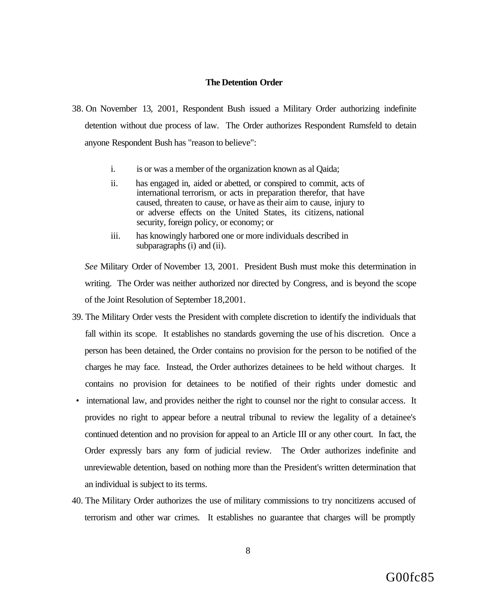### **The Detention Order**

- 38. On November 13, 2001, Respondent Bush issued a Military Order authorizing indefinite detention without due process of law. The Order authorizes Respondent Rumsfeld to detain anyone Respondent Bush has "reason to believe":
	- i. is or was a member of the organization known as al Qaida;
	- ii. has engaged in, aided or abetted, or conspired to commit, acts of international terrorism, or acts in preparation therefor, that have caused, threaten to cause, or have as their aim to cause, injury to or adverse effects on the United States, its citizens, national security, foreign policy, or economy; or
	- iii. has knowingly harbored one or more individuals described in subparagraphs (i) and (ii).

*See* Military Order of November 13, 2001. President Bush must moke this determination in writing. The Order was neither authorized nor directed by Congress, and is beyond the scope of the Joint Resolution of September 18,2001.

- 39. The Military Order vests the President with complete discretion to identify the individuals that fall within its scope. It establishes no standards governing the use of his discretion. Once a person has been detained, the Order contains no provision for the person to be notified of the charges he may face. Instead, the Order authorizes detainees to be held without charges. It contains no provision for detainees to be notified of their rights under domestic and
- international law, and provides neither the right to counsel nor the right to consular access. It provides no right to appear before a neutral tribunal to review the legality of a detainee's continued detention and no provision for appeal to an Article III or any other court. In fact, the Order expressly bars any form of judicial review. The Order authorizes indefinite and unreviewable detention, based on nothing more than the President's written determination that an individual is subject to its terms.
- 40. The Military Order authorizes the use of military commissions to try noncitizens accused of terrorism and other war crimes. It establishes no guarantee that charges will be promptly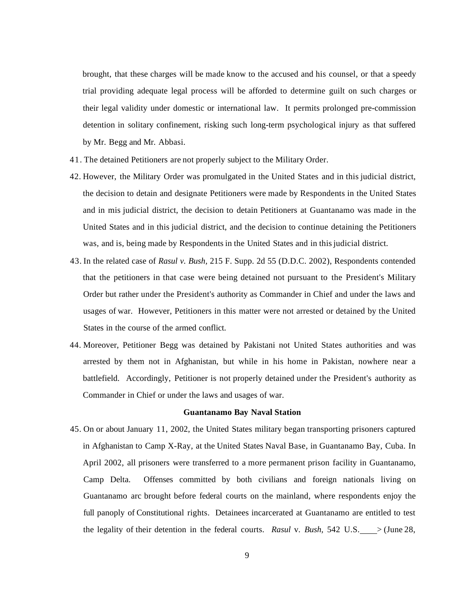brought, that these charges will be made know to the accused and his counsel, or that a speedy trial providing adequate legal process will be afforded to determine guilt on such charges or their legal validity under domestic or international law. It permits prolonged pre-commission detention in solitary confinement, risking such long-term psychological injury as that suffered by Mr. Begg and Mr. Abbasi.

- 41. The detained Petitioners are not properly subject to the Military Order.
- 42. However, the Military Order was promulgated in the United States and in this judicial district, the decision to detain and designate Petitioners were made by Respondents in the United States and in mis judicial district, the decision to detain Petitioners at Guantanamo was made in the United States and in this judicial district, and the decision to continue detaining the Petitioners was, and is, being made by Respondents in the United States and in this judicial district.
- 43. In the related case of *Rasul v. Bush,* 215 F. Supp. 2d 55 (D.D.C. 2002), Respondents contended that the petitioners in that case were being detained not pursuant to the President's Military Order but rather under the President's authority as Commander in Chief and under the laws and usages of war. However, Petitioners in this matter were not arrested or detained by the United States in the course of the armed conflict.
- 44. Moreover, Petitioner Begg was detained by Pakistani not United States authorities and was arrested by them not in Afghanistan, but while in his home in Pakistan, nowhere near a battlefield. Accordingly, Petitioner is not properly detained under the President's authority as Commander in Chief or under the laws and usages of war.

#### **Guantanamo Bay Naval Station**

45. On or about January 11, 2002, the United States military began transporting prisoners captured in Afghanistan to Camp X-Ray, at the United States Naval Base, in Guantanamo Bay, Cuba. In April 2002, all prisoners were transferred to a more permanent prison facility in Guantanamo, Camp Delta. Offenses committed by both civilians and foreign nationals living on Guantanamo arc brought before federal courts on the mainland, where respondents enjoy the full panoply of Constitutional rights. Detainees incarcerated at Guantanamo are entitled to test the legality of their detention in the federal courts. *Rasul* v. *Bush,* 542 U.S. > (June 28,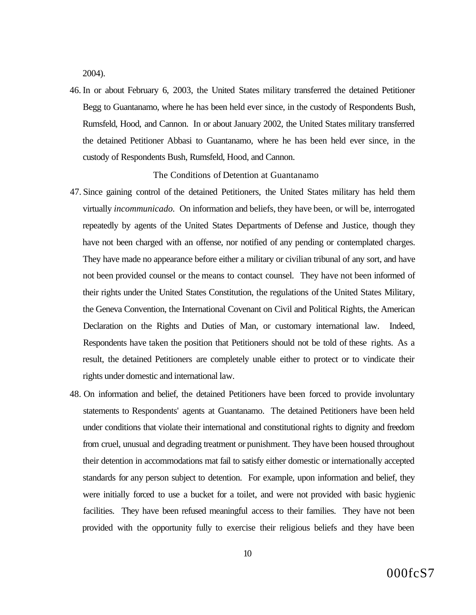2004).

46. In or about February 6, 2003, the United States military transferred the detained Petitioner Begg to Guantanamo, where he has been held ever since, in the custody of Respondents Bush, Rumsfeld, Hood, and Cannon. In or about January 2002, the United States military transferred the detained Petitioner Abbasi to Guantanamo, where he has been held ever since, in the custody of Respondents Bush, Rumsfeld, Hood, and Cannon.

### The Conditions of Detention at Guantanamo

- 47. Since gaining control of the detained Petitioners, the United States military has held them virtually *incommunicado.* On information and beliefs, they have been, or will be, interrogated repeatedly by agents of the United States Departments of Defense and Justice, though they have not been charged with an offense, nor notified of any pending or contemplated charges. They have made no appearance before either a military or civilian tribunal of any sort, and have not been provided counsel or the means to contact counsel. They have not been informed of their rights under the United States Constitution, the regulations of the United States Military, the Geneva Convention, the International Covenant on Civil and Political Rights, the American Declaration on the Rights and Duties of Man, or customary international law. Indeed, Respondents have taken the position that Petitioners should not be told of these rights. As a result, the detained Petitioners are completely unable either to protect or to vindicate their rights under domestic and international law.
- 48. On information and belief, the detained Petitioners have been forced to provide involuntary statements to Respondents' agents at Guantanamo. The detained Petitioners have been held under conditions that violate their international and constitutional rights to dignity and freedom from cruel, unusual and degrading treatment or punishment. They have been housed throughout their detention in accommodations mat fail to satisfy either domestic or internationally accepted standards for any person subject to detention. For example, upon information and belief, they were initially forced to use a bucket for a toilet, and were not provided with basic hygienic facilities. They have been refused meaningful access to their families. They have not been provided with the opportunity fully to exercise their religious beliefs and they have been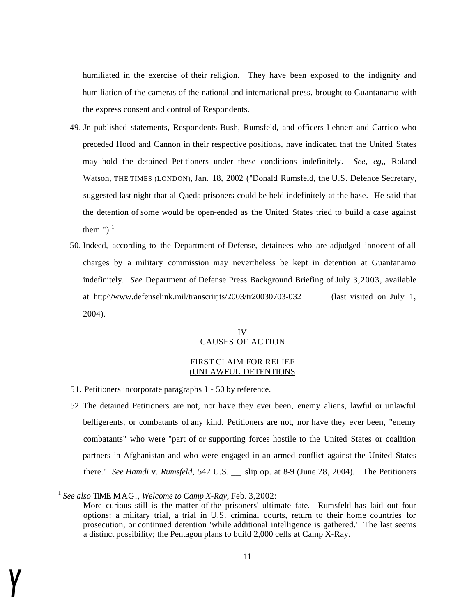humiliated in the exercise of their religion. They have been exposed to the indignity and humiliation of the cameras of the national and international press, brought to Guantanamo with the express consent and control of Respondents.

- 49. Jn published statements, Respondents Bush, Rumsfeld, and officers Lehnert and Carrico who preceded Hood and Cannon in their respective positions, have indicated that the United States may hold the detained Petitioners under these conditions indefinitely. *See, eg,,* Roland Watson, THE TIMES (LONDON), Jan. 18, 2002 ("Donald Rumsfeld, the U.S. Defence Secretary, suggested last night that al-Qaeda prisoners could be held indefinitely at the base. He said that the detention of some would be open-ended as the United States tried to build a case against them." $)^1$
- 50. Indeed, according to the Department of Defense, detainees who are adjudged innocent of all charges by a military commission may nevertheless be kept in detention at Guantanamo indefinitely. *See* Department of Defense Press Background Briefing of July 3,2003, available at http<sup> $\land$ </sup>/www.defenselink.mil/transcririts/2003/tr20030703-032 (last visited on July 1, 2004).

### IV CAUSES OF ACTION

### FIRST CLAIM FOR RELIEF (UNLAWFUL DETENTIONS

- 51. Petitioners incorporate paragraphs I 50 by reference.
- 52. The detained Petitioners are not, nor have they ever been, enemy aliens, lawful or unlawful belligerents, or combatants of any kind. Petitioners are not, nor have they ever been, "enemy combatants" who were "part of or supporting forces hostile to the United States or coalition partners in Afghanistan and who were engaged in an armed conflict against the United States there." *See Hamdi* v. *Rumsfeld,* 542 U.S. \_\_, slip op. at 8-9 (June 28, 2004). The Petitioners

**Y** 

<sup>1</sup>  *See also* TIME MAG., *Welcome to Camp X-Ray,* Feb. 3,2002:

More curious still is the matter of the prisoners' ultimate fate. Rumsfeld has laid out four options: a military trial, a trial in U.S. criminal courts, return to their home countries for prosecution, or continued detention 'while additional intelligence is gathered.' The last seems a distinct possibility; the Pentagon plans to build 2,000 cells at Camp X-Ray.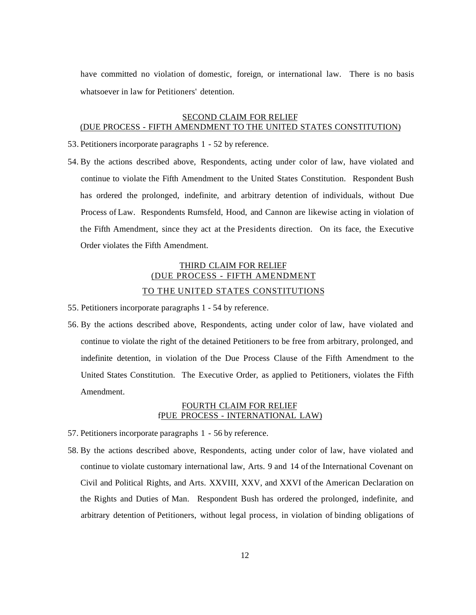have committed no violation of domestic, foreign, or international law. There is no basis whatsoever in law for Petitioners' detention.

### SECOND CLAIM FOR RELIEF (DUE PROCESS - FIFTH AMENDMENT TO THE UNITED STATES CONSTITUTION)

- 53. Petitioners incorporate paragraphs 1 52 by reference.
- 54. By the actions described above, Respondents, acting under color of law, have violated and continue to violate the Fifth Amendment to the United States Constitution. Respondent Bush has ordered the prolonged, indefinite, and arbitrary detention of individuals, without Due Process of Law. Respondents Rumsfeld, Hood, and Cannon are likewise acting in violation of the Fifth Amendment, since they act at the Presidents direction. On its face, the Executive Order violates the Fifth Amendment.

### THIRD CLAIM FOR RELIEF (DUE PROCESS - FIFTH AMENDMENT TO THE UNITED STATES CONSTITUTIONS

- 55. Petitioners incorporate paragraphs 1 54 by reference.
- 56. By the actions described above, Respondents, acting under color of law, have violated and continue to violate the right of the detained Petitioners to be free from arbitrary, prolonged, and indefinite detention, in violation of the Due Process Clause of the Fifth Amendment to the United States Constitution. The Executive Order, as applied to Petitioners, violates the Fifth Amendment.

### FOURTH CLAIM FOR RELIEF fPUE PROCESS - INTERNATIONAL LAW)

- 57. Petitioners incorporate paragraphs 1 56 by reference.
- 58. By the actions described above, Respondents, acting under color of law, have violated and continue to violate customary international law, Arts. 9 and 14 of the International Covenant on Civil and Political Rights, and Arts. XXVIII, XXV, and XXVI of the American Declaration on the Rights and Duties of Man. Respondent Bush has ordered the prolonged, indefinite, and arbitrary detention of Petitioners, without legal process, in violation of binding obligations of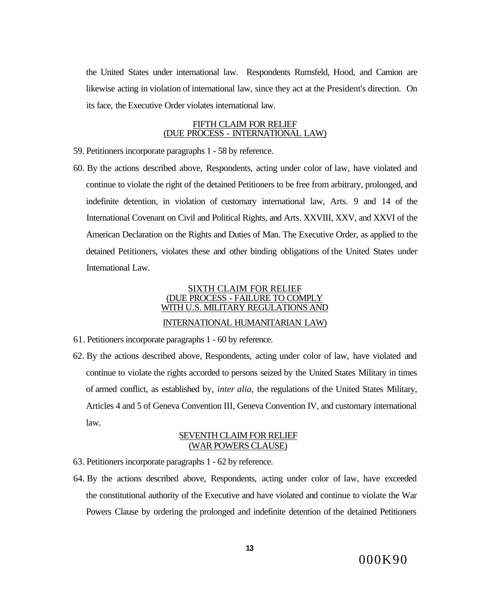the United States under international law. Respondents Rumsfeld, Hood, and Camion are likewise acting in violation of international law, since they act at the President's direction. On its face, the Executive Order violates international law.

### FIFTH CLAIM FOR RELIEF (DUE PROCESS - INTERNATIONAL LAW)

- 59. Petitioners incorporate paragraphs 1 58 by reference.
- 60. By the actions described above, Respondents, acting under color of law, have violated and continue to violate the right of the detained Petitioners to be free from arbitrary, prolonged, and indefinite detention, in violation of customary international law, Arts. 9 and 14 of the International Covenant on Civil and Political Rights, and Arts. XXVIII, XXV, and XXVI of the American Declaration on the Rights and Duties of Man. The Executive Order, as applied to the detained Petitioners, violates these and other binding obligations of the United States under International Law.

### SIXTH CLAIM FOR RELIEF (DUE PROCESS - FAILURE TO COMPLY WITH U.S. MILITARY REGULATIONS AND INTERNATIONAL HUMANITARIAN LAW)

- 61. Petitioners incorporate paragraphs 1 60 by reference.
- 62. By the actions described above, Respondents, acting under color of law, have violated and continue to violate the rights accorded to persons seized by the United States Military in times of armed conflict, as established by, *inter alia,* the regulations of the United States Military, Articles 4 and 5 of Geneva Convention III, Geneva Convention IV, and customary international law.

### SEVENTH CLAIM FOR RELIEF (WAR POWERS CLAUSE)

- 63. Petitioners incorporate paragraphs 1 62 by reference.
- 64. By the actions described above, Respondents, acting under color of law, have exceeded the constitutional authority of the Executive and have violated and continue to violate the War Powers Clause by ordering the prolonged and indefinite detention of the detained Petitioners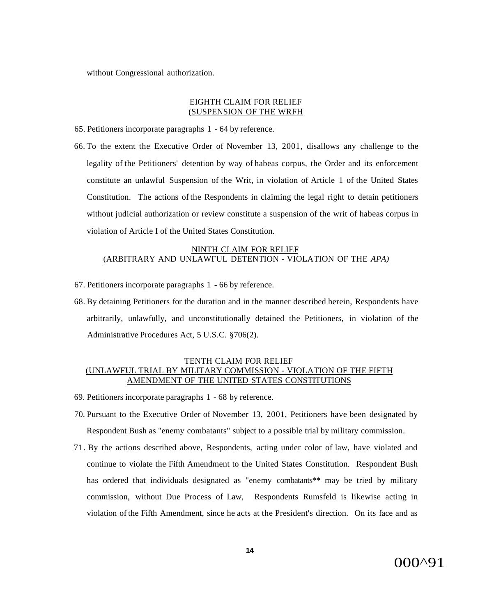without Congressional authorization.

### EIGHTH CLAIM FOR RELIEF (SUSPENSION OF THE WRFH

- 65. Petitioners incorporate paragraphs 1 64 by reference.
- 66. To the extent the Executive Order of November 13, 2001, disallows any challenge to the legality of the Petitioners' detention by way of habeas corpus, the Order and its enforcement constitute an unlawful Suspension of the Writ, in violation of Article 1 of the United States Constitution. The actions of the Respondents in claiming the legal right to detain petitioners without judicial authorization or review constitute a suspension of the writ of habeas corpus in violation of Article I of the United States Constitution.

### NINTH CLAIM FOR RELIEF (ARBITRARY AND UNLAWFUL DETENTION - VIOLATION OF THE *APA)*

- 67. Petitioners incorporate paragraphs 1 66 by reference.
- 68. By detaining Petitioners for the duration and in the manner described herein, Respondents have arbitrarily, unlawfully, and unconstitutionally detained the Petitioners, in violation of the Administrative Procedures Act, 5 U.S.C. §706(2).

### TENTH CLAIM FOR RELIEF (UNLAWFUL TRIAL BY MILITARY COMMISSION - VIOLATION OF THE FIFTH AMENDMENT OF THE UNITED STATES CONSTITUTIONS

- 69. Petitioners incorporate paragraphs 1 68 by reference.
- 70. Pursuant to the Executive Order of November 13, 2001, Petitioners have been designated by Respondent Bush as "enemy combatants" subject to a possible trial by military commission.
- 71. By the actions described above, Respondents, acting under color of law, have violated and continue to violate the Fifth Amendment to the United States Constitution. Respondent Bush has ordered that individuals designated as "enemy combatants\*\* may be tried by military commission, without Due Process of Law, Respondents Rumsfeld is likewise acting in violation of the Fifth Amendment, since he acts at the President's direction. On its face and as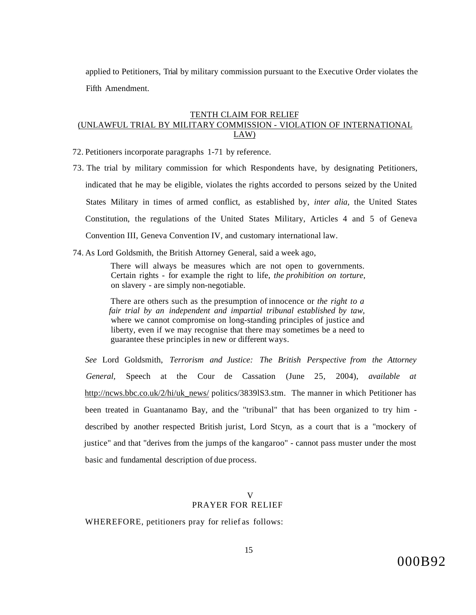applied to Petitioners, Trial by military commission pursuant to the Executive Order violates the Fifth Amendment.

### TENTH CLAIM FOR RELIEF (UNLAWFUL TRIAL BY MILITARY COMMISSION - VIOLATION OF INTERNATIONAL LAW)

72. Petitioners incorporate paragraphs 1-71 by reference.

- 73. The trial by military commission for which Respondents have, by designating Petitioners, indicated that he may be eligible, violates the rights accorded to persons seized by the United States Military in times of armed conflict, as established by, *inter alia,* the United States Constitution, the regulations of the United States Military, Articles 4 and 5 of Geneva Convention III, Geneva Convention IV, and customary international law.
- 74. As Lord Goldsmith, the British Attorney General, said a week ago,

There will always be measures which are not open to governments. Certain rights - for example the right to life, *the prohibition on torture,*  on slavery - are simply non-negotiable.

There are others such as the presumption of innocence or *the right to a fair trial by an independent and impartial tribunal established by taw,*  where we cannot compromise on long-standing principles of justice and liberty, even if we may recognise that there may sometimes be a need to guarantee these principles in new or different ways.

*See* Lord Goldsmith, *Terrorism and Justice: The British Perspective from the Attorney General,* Speech at the Cour de Cassation (June 25, 2004), *available at*  [http://ncws.bbc.co.uk/2/hi/uk\\_news/ p](http://ncws.bbc.co.uk/2/hi/uk_news/)olitics/3839lS3.stm. The manner in which Petitioner has been treated in Guantanamo Bay, and the ''tribunal" that has been organized to try him described by another respected British jurist, Lord Stcyn, as a court that is a "mockery of justice" and that "derives from the jumps of the kangaroo" - cannot pass muster under the most basic and fundamental description of due process.

### $\overline{V}$ PRAYER FOR RELIEF

WHEREFORE, petitioners pray for relief as follows: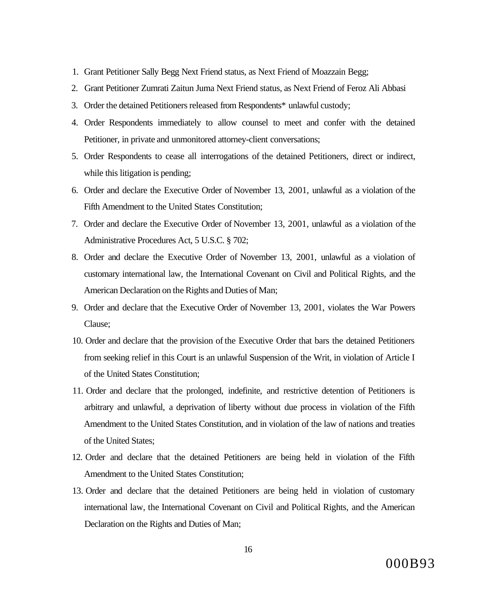- 1. Grant Petitioner Sally Begg Next Friend status, as Next Friend of Moazzain Begg;
- 2. Grant Petitioner Zumrati Zaitun Juma Next Friend status, as Next Friend of Feroz Ali Abbasi
- 3. Order the detained Petitioners released from Respondents\* unlawful custody;
- 4. Order Respondents immediately to allow counsel to meet and confer with the detained Petitioner, in private and unmonitored attorney-client conversations;
- 5. Order Respondents to cease all interrogations of the detained Petitioners, direct or indirect, while this litigation is pending;
- 6. Order and declare the Executive Order of November 13, 2001, unlawful as a violation of the Fifth Amendment to the United States Constitution;
- 7. Order and declare the Executive Order of November 13, 2001, unlawful as a violation of the Administrative Procedures Act, 5 U.S.C. § 702;
- 8. Order and declare the Executive Order of November 13, 2001, unlawful as a violation of customary international law, the International Covenant on Civil and Political Rights, and the American Declaration on the Rights and Duties of Man;
- 9. Order and declare that the Executive Order of November 13, 2001, violates the War Powers Clause;
- 10. Order and declare that the provision of the Executive Order that bars the detained Petitioners from seeking relief in this Court is an unlawful Suspension of the Writ, in violation of Article I of the United States Constitution;
- 11. Order and declare that the prolonged, indefinite, and restrictive detention of Petitioners is arbitrary and unlawful, a deprivation of liberty without due process in violation of the Fifth Amendment to the United States Constitution, and in violation of the law of nations and treaties of the United States;
- 12. Order and declare that the detained Petitioners are being held in violation of the Fifth Amendment to the United States Constitution;
- 13. Order and declare that the detained Petitioners are being held in violation of customary international law, the International Covenant on Civil and Political Rights, and the American Declaration on the Rights and Duties of Man;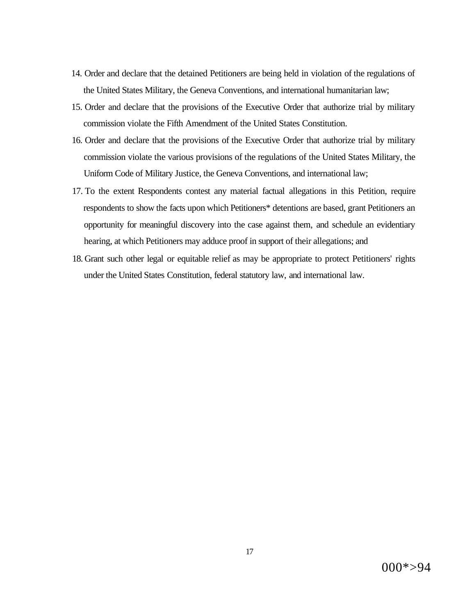- 14. Order and declare that the detained Petitioners are being held in violation of the regulations of the United States Military, the Geneva Conventions, and international humanitarian law;
- 15. Order and declare that the provisions of the Executive Order that authorize trial by military commission violate the Fifth Amendment of the United States Constitution.
- 16. Order and declare that the provisions of the Executive Order that authorize trial by military commission violate the various provisions of the regulations of the United States Military, the Uniform Code of Military Justice, the Geneva Conventions, and international law;
- 17. To the extent Respondents contest any material factual allegations in this Petition, require respondents to show the facts upon which Petitioners\* detentions are based, grant Petitioners an opportunity for meaningful discovery into the case against them, and schedule an evidentiary hearing, at which Petitioners may adduce proof in support of their allegations; and
- 18. Grant such other legal or equitable relief as may be appropriate to protect Petitioners' rights under the United States Constitution, federal statutory law, and international law.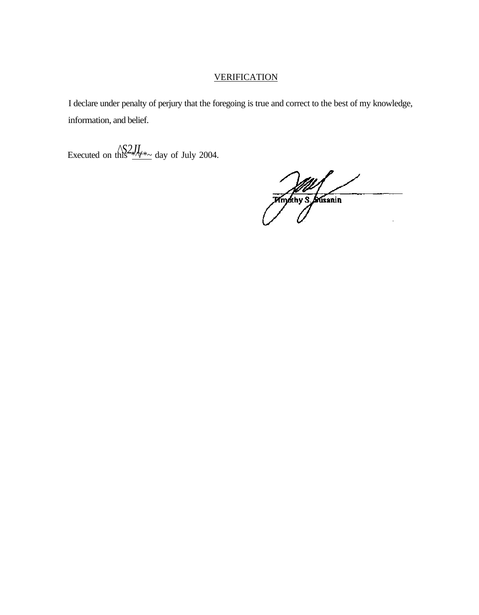### **VERIFICATION**

I declare under penalty of perjury that the foregoing is true and correct to the best of my knowledge, information, and belief.

Executed on this  $^{8}$ *NC<sub>T<sup>\*</sup></sub>* day of July 2004.

**Tringity S. Prussing**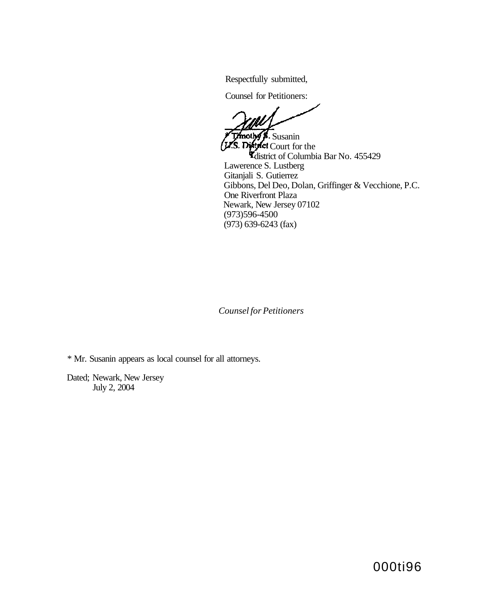Respectfully submitted,

Counsel for Petitioners:

Susanin

Court for the district of Columbia Bar No. 455429 Lawerence S. Lustberg Gitanjali S. Gutierrez Gibbons, Del Deo, Dolan, Griffinger & Vecchione, P.C. One Riverfront Plaza Newark, New Jersey 07102 (973)596-4500 (973) 639-6243 (fax)

*Counsel for Petitioners* 

*\** Mr. Susanin appears as local counsel for all attorneys.

Dated; Newark, New Jersey July 2, 2004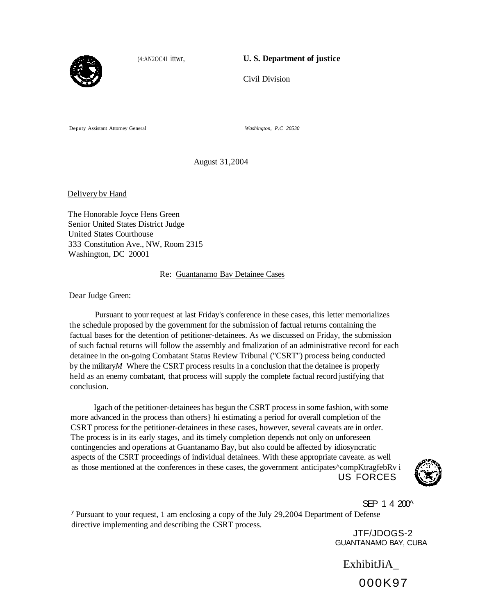(4:AN2OC4I ittwr, **U. S. Department of justice** 



Civil Division

Deputy Assistant Attorney General *Washington, P.C 20530* 

August 31,2004

Delivery bv Hand

The Honorable Joyce Hens Green Senior United States District Judge United States Courthouse 333 Constitution Ave., NW, Room 2315 Washington, DC 20001

### Re: Guantanamo Bav Detainee Cases

Dear Judge Green:

Pursuant to your request at last Friday's conference in these cases, this letter memorializes the schedule proposed by the government for the submission of factual returns containing the factual bases for the detention of petitioner-detainees. As we discussed on Friday, the submission of such factual returns will follow the assembly and fmalization of an administrative record for each detainee in the on-going Combatant Status Review Tribunal ("CSRT") process being conducted by the military*M* Where the CSRT process results in a conclusion that the detainee is properly held as an enemy combatant, that process will supply the complete factual record justifying that conclusion.

Igach of the petitioner-detainees has begun the CSRT process in some fashion, with some more advanced in the process than others} hi estimating a period for overall completion of the CSRT process for the petitioner-detainees in these cases, however, several caveats are in order. The process is in its early stages, and its timely completion depends not only on unforeseen contingencies and operations at Guantanamo Bay, but also could be affected by idiosyncratic aspects of the CSRT proceedings of individual detainees. With these appropriate caveate. as well as those mentioned at the conferences in these cases, the government anticipates^compKtragfebRv i US FORCES



SEP 1 4 200<sup> $\circ$ </sup>

*y* Pursuant to your request, 1 am enclosing a copy of the July 29,2004 Department of Defense directive implementing and describing the CSRT process.

JTF/JDOGS-2 GUANTANAMO BAY, CUBA

ExhibitJiA\_ 000K97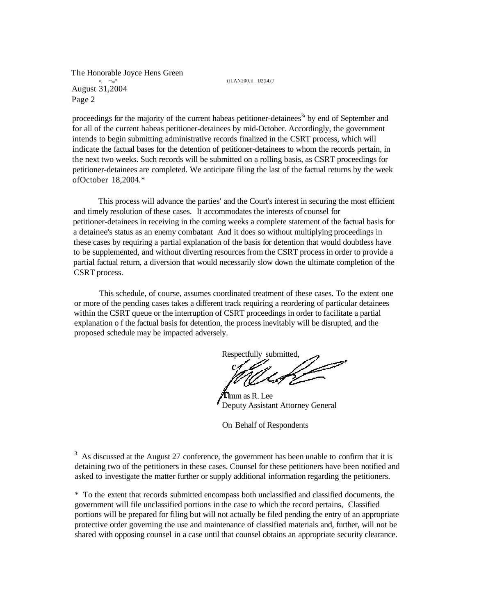The Honorable Joyce Hens Green August 31,2004 Page 2

«, *~nn\** ([il.AN200.il](http://il.AN200.il) IJ2(I4.(J

proceedings for the majority of the current habeas petitioner-detainees<sup>3</sup> by end of September and for all of the current habeas petitioner-detainees by mid-October. Accordingly, the government intends to begin submitting administrative records finalized in the CSRT process, which will indicate the factual bases for the detention of petitioner-detainees to whom the records pertain, in the next two weeks. Such records will be submitted on a rolling basis, as CSRT proceedings for petitioner-detainees are completed. We anticipate filing the last of the factual returns by the week ofOctober 18,2004.\*

This process will advance the parties' and the Court's interest in securing the most efficient and timely resolution of these cases. It accommodates the interests of counsel for petitioner-detainees in receiving in the coming weeks a complete statement of the factual basis for a detainee's status as an enemy combatant And it does so without multiplying proceedings in these cases by requiring a partial explanation of the basis for detention that would doubtless have to be supplemented, and without diverting resources from the CSRT process in order to provide a partial factual return, a diversion that would necessarily slow down the ultimate completion of the CSRT process.

This schedule, of course, assumes coordinated treatment of these cases. To the extent one or more of the pending cases takes a different track requiring a reordering of particular detainees within the CSRT queue or the interruption of CSRT proceedings in order to facilitate a partial explanation o f the factual basis for detention, the process inevitably will be disrupted, and the proposed schedule may be impacted adversely.

Respectfully submitted, *c* 

**Imm as R. Lee** Deputy Assistant Attorney General

On Behalf of Respondents

 $3\,$  As discussed at the August 27 conference, the government has been unable to confirm that it is detaining two of the petitioners in these cases. Counsel for these petitioners have been notified and asked to investigate the matter further or supply additional information regarding the petitioners.

\* To the extent that records submitted encompass both unclassified and classified documents, the government will file unclassified portions in the case to which the record pertains, Classified portions will be prepared for filing but will not actually be filed pending the entry of an appropriate protective order governing the use and maintenance of classified materials and, further, will not be shared with opposing counsel in a case until that counsel obtains an appropriate security clearance.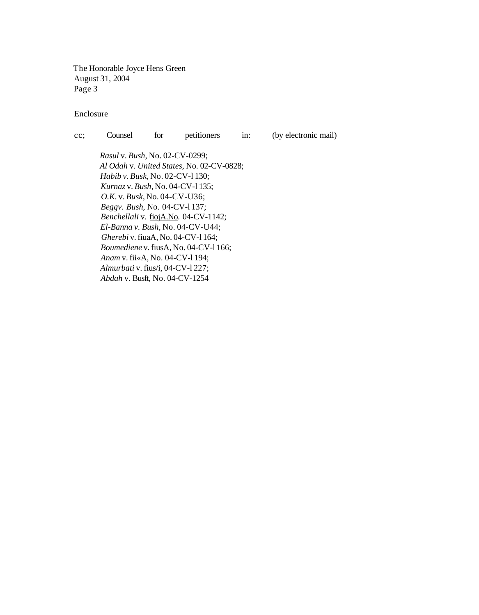The Honorable Joyce Hens Green August 31, 2004 Page 3

Enclosure

| $cc$ : | Counsel | tor | petitioners | ın: | (by electronic mail) |
|--------|---------|-----|-------------|-----|----------------------|
|        |         |     |             |     |                      |

*Rasul* v. *Bush,* No. 02-CV-0299; *Al Odah* v. *United States,* No. 02-CV-0828; *Habib v. Busk,* No. 02-CV-l 130; *Kurnaz* v. *Bush,* No. 04-CV-l 135; *O.K.* v. *Busk,* No. 04-CV-U36; *Beggv. Bush,* No. 04-CV-l 137; *Benchellali* v. [fiojA.No.](http://fiojA.No) 04-CV-1142; *El-Banna v. Bush,* No. 04-CV-U44; *Gherebi* v. fiuaA, No. 04-CV-l 164; *Boumediene* v. fiusA, No. 04-CV-l 166; *Anam* v. fii«A, No. 04-CV-l 194; *Almurbati* v. fius/i, 04-CV-l 227; *Abdah* v. Busft, No. 04-CV-1254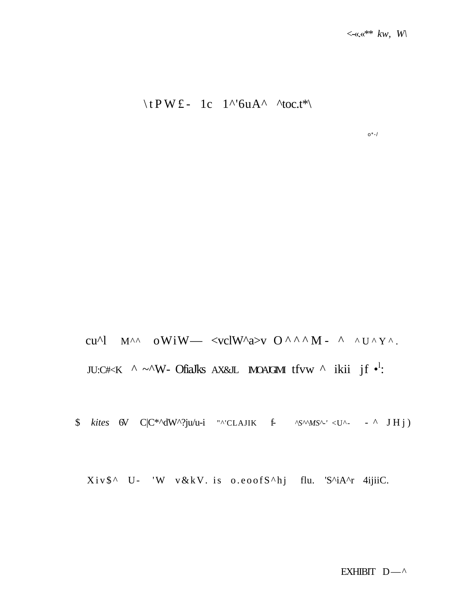### \tPW£- 1c 1^'6uA^ ^toc.t\*\

 $0^*$ -/

cu^l M^^ oWiW— <vclW^a>v O ^ ^ ^ M - ^ ^ U ^ Y ^. JU:C#<K ^ ~^W- Ofialks AX&IL MOAKIM tfvw ^ ikii jf •<sup>1</sup>:

\$ kites 6V C|C\*^dW^?ju/u-i "^'CLAJIK f ^S^^MS^-' <U^- - ^ J H j )

Xiv \$^ U- 'W v & k V. is o.eoof S^hj flu. 'S^iA^r 4ijiiC.

EXHIBIT  $D-^{\wedge}$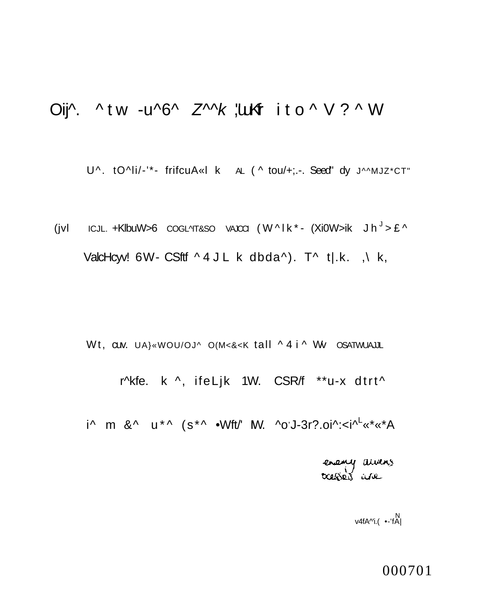### Oin.  $\wedge$  tw -u $\wedge$ 6 $\wedge$  Z $\wedge$ K "ukt it o  $\wedge$  V ?  $\wedge$  W

U^. tO^li/-'\*- frifcuA«| k AL (^ tou/+;.-. Seed" dy J^^MJZ\*CT"

(jvl ICJL. +KIbuW>6 COGLAT&SO VAJCCI (W ^ I k \* - (Xi0W>ik J h  $\sqrt{3}$  > £ ^ ValcHcyv! 6W-CSftf  $\wedge$  4 J L k dbda $\wedge$ ). T $\wedge$  t|.k.,  $\wedge$  k,

Wt, av. UA}«WOU/OJ^ O(M<&<K tall ^4 i^ WV OSATWUAUL

r^kfe. k ^, ifeLjk 1W. CSR/f \*\*u-x dtrt^

i^ m &^ u\*^ (s\*^ •Wft/' M. ^o'J-3r?.oi^:<i^<sup>L</sup>«\*«\*A

enemy awers tages are

N<br>|v4fA^'i.( ∙-'fA

000701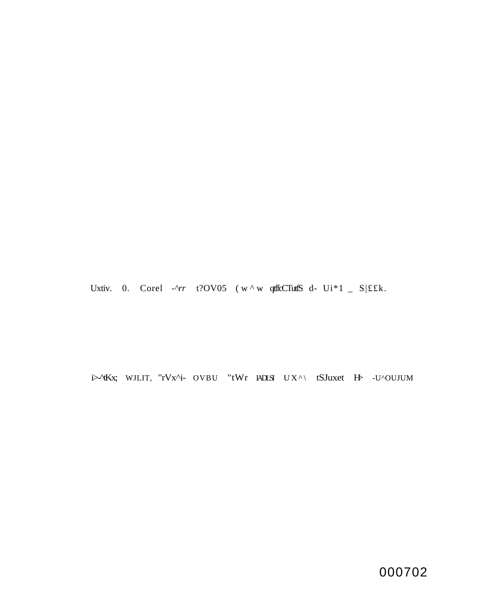Uxtiv. 0. Corel -^rr t?OV05 (w^w qtfcCTutfS d- Ui\*1 \_ S|££k.

i>^tKx; WJLIT, "rVx^i- OVBU "tWr IADSI UX^\ tSJuxet H> -U^OUJUM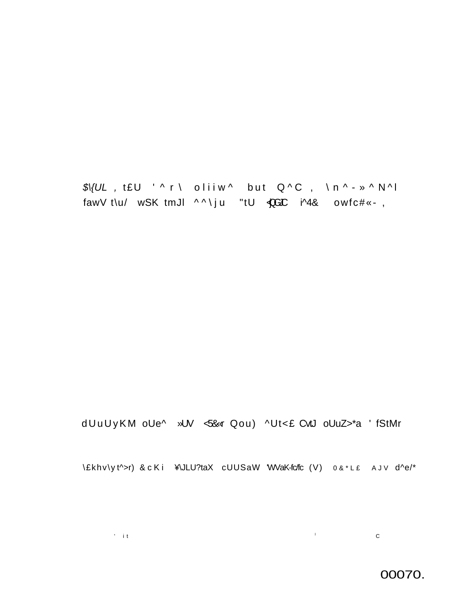\$\{UL, t£U '^r\ oliiw^ but Q^C, \n^- »^N^I fawV t\u/ wSK tmJl ^^\ju "tU  $\bigoplus$ CC i^4& owfc#«-,

dUuUyKM oUe^ »UV <5& Qou) ^Ut<£ CvtJ oUuZ>\*a 'fStMr

\£khv\yt^>r) & cKi \\LU?taX cUUSaW 'WVaK-fc/fc (V) 0&\*L£ AJV d^e/\*

 $\mathcal{O}(\mathcal{F}^{\mathcal{E}})$  is the  $\mathcal{O}(\mathcal{E})$ 

00070.

 $\overline{C}$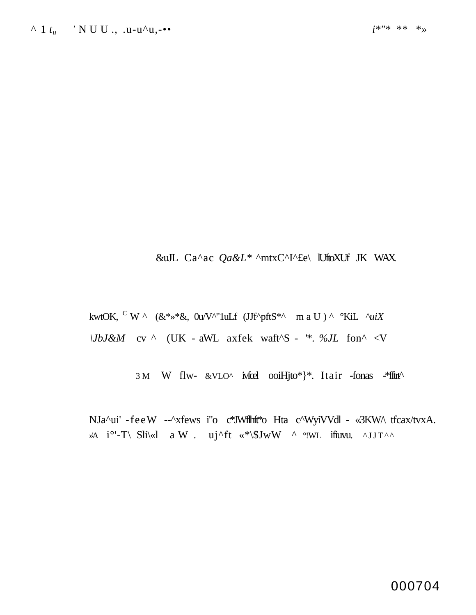&uJL Ca^ac Qa&L\* ^mtxC^I^£e\ lUftoXUf JK WAX

kwtOK,  $\ ^{C}$  W ^ (&\*>\*&, 0u/V^"1uLf (JJf^pftS\*^ m a U ) ^  $\ ^{O}$ KiL ^uiX  $\big\setminus JbJ\&M$  cv ^ (UK - aWL axfek waft^S - \*. %JL fon^ <V

3 M W flw- &VLO^ ivfed ooiHjto\*}\*. Itair -fonas -\*ffut^

NJa^ui' -feeW --^xfews i"o c\*JWflhft\*o Hta c^WyiVVdl - «3KW/\ tfcax/tvxA. »A i<sup>o</sup>'-T\ Sli\«l a W . uj^ft «\*\\$JwW ^ °!WL ifuvu. ^JJT^^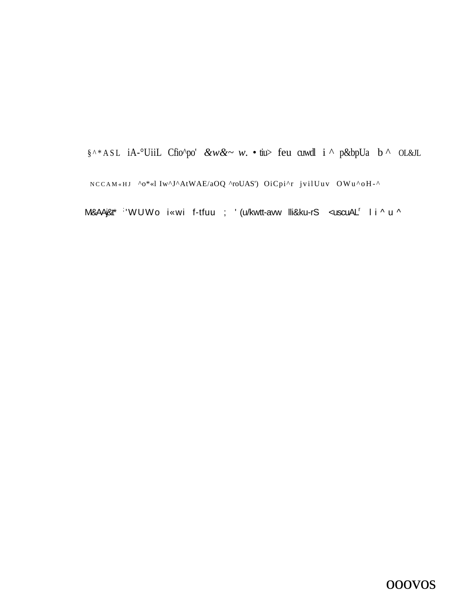§^\*ASL iA-°UiiL Cfio^po' &w&~ w. • tiu> feu cuwdl i ^ p&bpUa b ^ OL&JL NCCAM«HJ ^0\*«l Iw^J^AtWAE/aOQ ^roUAS') OiCpi^r jvilUuv OWu^oH-^ M&AAj&t\* <sup>:</sup>'WUWo i«wi f-tfuu ; '(u/kwtt-avw lli&ku-rS <uscuAL' li^u^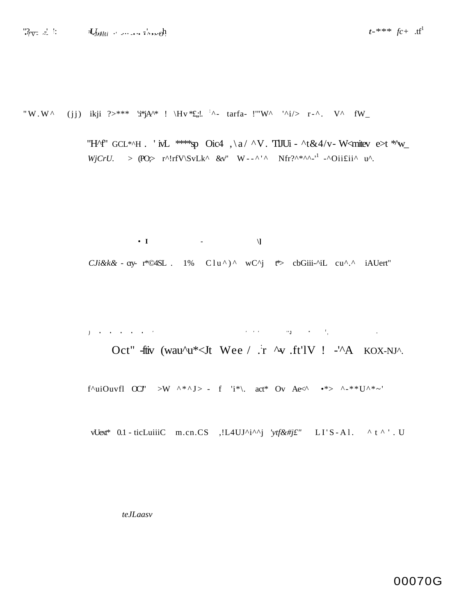"W.W^ (jj) ikji ?>\*\*\* 'i\*jA^\* ! \Hv\*f;;! '^- tarfa- !'"W^ '^i/> r-^. V^ fW\_

"H^f" GCL\*^H. 'ivL \*\*\*\* sp Oic4, \a/ ^V. TIJUi - ^t&4/v-W<mitev e>t \*^w\_  $WjCrU.$  > (PO $\triangleright$  r^!rfV\SvLk^ &v" W - - ^'^ Nfr?^\*^^-'<sup>1</sup> -^Oii£ii^ u^.

 $\bullet$  I and  $\bullet$  I and  $\bullet$ 

 $CJi\&k\& - \alpha y$ - r\*©4SL. 1%  $Clu^{\wedge})^{\wedge}$  wC^j t\*> cbGiii-^iL cu^.^ iAUert"

provided a series of the control of the control of the control of the control of the control of the control of

Oct" -fiv (wau $\alpha$ <sup>\*</sup></br/>It Wee / .r  $\alpha$  .ft 'IV ! -' $\alpha$  KOX-NJ $\alpha$ .

 $f^{\wedge}$ uiOuvfl OCI" >W  $\wedge^*$   $\wedge J$ > - f 'i<sup>\*</sup>\, act<sup>\*</sup> Ov Ae  $\wedge^*$   $\bullet^*$ >  $\wedge$ - $*$ \*U $\wedge^*$  ~'

vUext\* 0.1 - ticLuiiiC m.cn.CS ,!L4UJ^i^^j 'ytf&#j£" LI'S-Al. ^ t ^ '. U

teJLaasv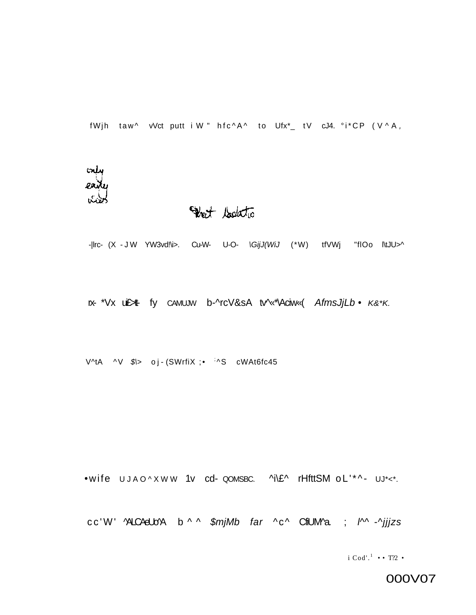fWjh taw^ vVct putt iW " hfc^A^ to Ufx<sup>\*</sup>\_ tV cJ4. °i\*CP (V^A,



### West bodation

-|Irc- (X - J W YW3vd!\i>. Cu-W- U-O- \GijJ(WiJ (\*W) tfVWj "flOo \\tJU>^

IX- \*Vx uE fy CAMUM b-^rcV&sA tv^«\*\Aciw«( AfmsJjLb • K&\*K.

V^tA ^V \$|> oj-(SWrfiX; · ^S cWAt6fc45

• wife UJAO^XWW 1v cd-QOMSBC. ^i\£^ rHfttSM oL'\*^- UJ\*<\*.

cc'W' ALCAddo'A b ^ ^ \$mjMb far ^c^ CfiUMa. ; /^^ -^jjjzs

 $i$  Cod'.<sup>1</sup> • • T?2 •

000V07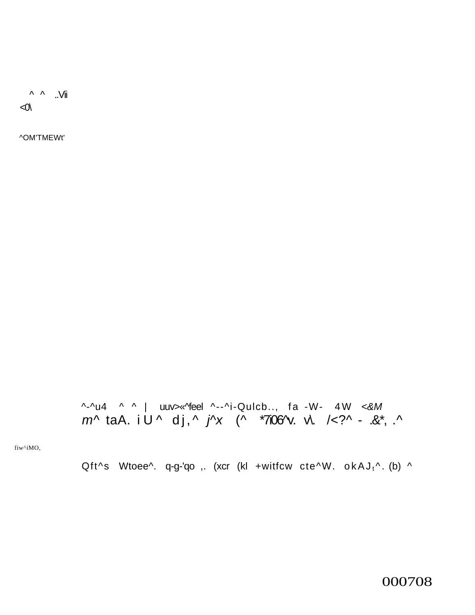$\wedge \wedge$  ...  $V$ ii  $\ll 0$ 

^OM'TMEWt'

^-^u4 ^ ^ | uuv> <^feel ^--^i-Qulcb.., fa -W- 4W <&M<br>  $m^{\wedge}$  taA. iU ^ dj, ^ j^x (^ \*706^v. vl. /<?^ - .&\*, .^

fiw^iMO,

Qft^s Wtoee^. q-g-'qo ,. (xcr (kl +witfcw cte^W. okAJ<sub>t</sub>^. (b) ^

000708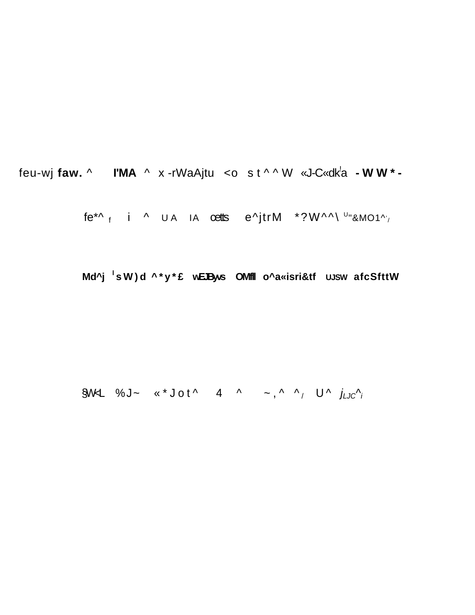feu-wj faw. ^ I'MA ^ x -rWaAjtu <o st ^ ^ W «J-C«dk'a - W W \* -

 $fe^{*\wedge}$  i  $\wedge$  UA IA cetts  $e^{\wedge}$ jtr $M$  \*?W $\wedge \wedge$ <sup>U</sup>"&MO1 $\wedge$ 

Md^j 'sW)d ^\*y\*£ wEJBys OMfil o^a«isri&tf uJSW afcSfttW

SNKL %J~ «\*Jot^ 4 ^ ~,^ ^, U^  $j_{LJC}$ ^;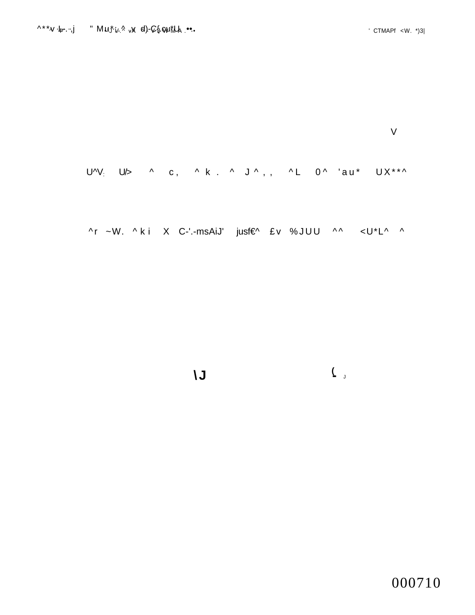$V$ 

### $U^{\wedge}V$ ;  $U/\triangleright \wedge c$ ,  $\wedge k$ ,  $\wedge J \wedge$ ,  $\wedge L$  0 $\wedge$  'au\*  $UX^{***}$

^r ~W. ^ki X C-'.-msAiJ' jusfe fv %JUU ^^ < U\*L^ ^

 $\mathcal{L}$  $\mathsf{U}$ 

000710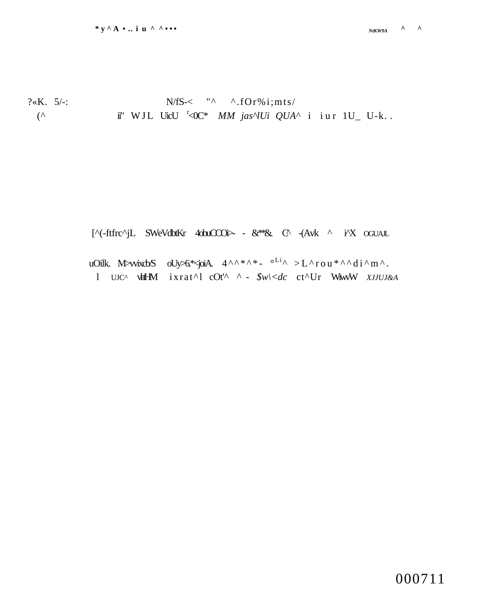$N/fs < "^{\wedge}$  ^ .fOr%i;mts/ ?«K.  $5/-$ :  $(^{\wedge}$ ii" WJL UicU <sup>r</sup><0C\* MM jas^lUi QUA^ i iur 1U\_ U-k..

[^(-ftfrc^jL SWeVdbtKr 4obuCCOi> - &\*\*& C^ -(Avk ^ i^X OGUAJL

uOilk. M vixeb S o Uy  $6 *$  joi A  $4 \wedge \wedge * \wedge *$   $5 \vee \wedge$   $1 \wedge n \vee 1 \wedge n \wedge 1 \wedge n \wedge 1$ . 1 UJC<sup>^</sup> VEHM ixrat<sup>^</sup>l cOt<sup>'^</sup> ^ -  $\mathcal{S}w$  <dc ct<sup>^</sup>Ur WwwW XJJUJ&A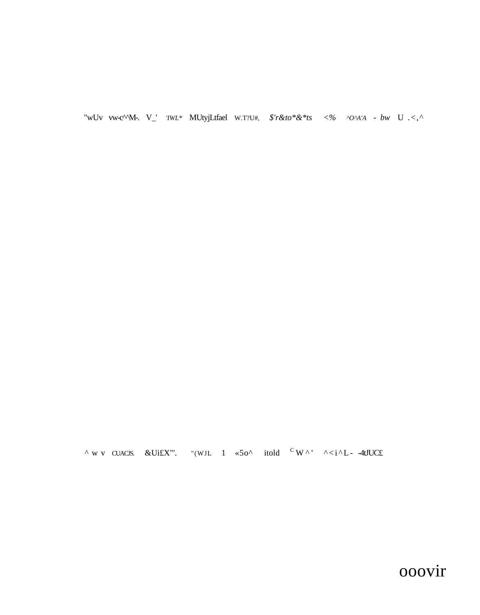$"wUv\quad vw-c^{\prime\prime}M\!\!-,\quad V_{-}^{'}\quad \textit{TWL*}\quad\text{MUtyjLtfael}\quad w.\texttt{T?U#},\quad \textit{$\$'r\&to to^* \& \$ts$} \quad <\!\!\textit{$\%$}\quad \textit{``O^{\prime\prime}A'A - bw$}U\;\;.<\text{``}^{\prime\prime}\text{''}U\;K\texttt{''}U\;K\texttt{''}U\;K\texttt{''}U\;K\texttt{''}U\;K\texttt{''}U\;K\texttt{''}U\;K\texttt{''}U\;K\texttt{''}U\;K\texttt{$ 

 $\wedge$  w v CUACIS. & Ui£X"'. "(WIL 1 «50 $\wedge$  itold  $\wedge$  W $\wedge$ '  $\wedge$  < i $\wedge$ L- 4tJUC£

ooovir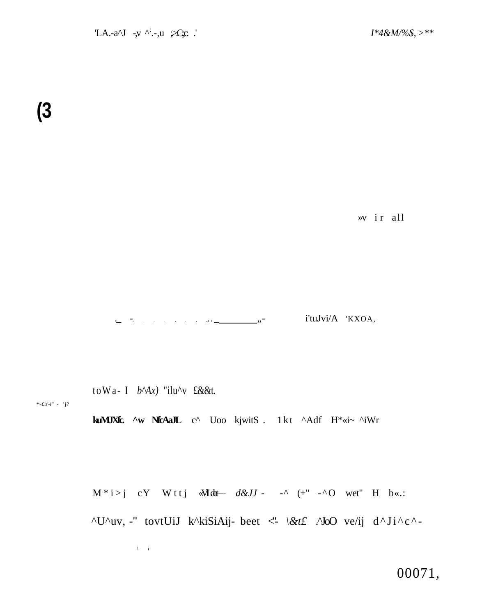$\boldsymbol{3}$ 

»v ir all

 $\sim$   $i'tuJvi/A$  'KXOA,

to Wa- I  $b^A$ Ax) "ilu^v £&&t.

\*~ $\pounds u'$ -i" - 'j?

kuMIXfc. ^w NfcAaIL c^ Uoo kjwitS. 1kt ^Adf H\*«i~ ^iWr

 $M * i > j$  cY Wttj « $Mdt$  d&JJ - -^ (+" -^O wet" H b«.: ^U^uv, -" tovtUiJ k^kiSiAij- beet <" \&t£ .^JoO ve/ij d^Ji^c^- $\setminus$   $i$ 

00071,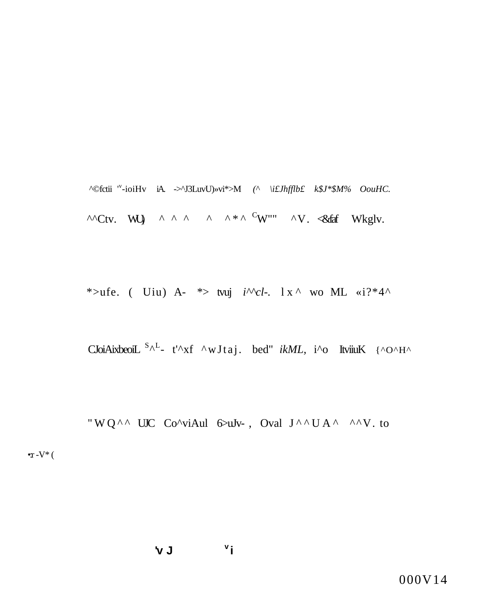$\label{eq:2.1} \mbox{``Cfctii''-ioiHv} \quad \mbox{iA.} \quad \mbox{--} \mbox{``J3LuvU)} \mbox{``vi''>} \mbox{--} \mbox{''} \quad \mbox{``i.f.} \mbox{Infflbf} \quad \mbox{~k$J*$M\%} \quad \mbox{OouHC}.$  $\wedge$  Ctv. WQ  $\wedge \wedge \wedge \wedge \wedge \wedge \wedge^c$ W""  $\wedge$  V. < & fat Wkglv.

\*>ufe. ( Uiu) A- \*> tvuj i^^cl-. 1x^ wo ML «i?\*4^

CJoiAixbeoiL  ${}^{S_{\Lambda}L}$ - t' ${}^{\Lambda}xf$   $\Lambda$  w Jtaj. bed" ikML, i ${}^{\Lambda}$ o ItviiuK { ${}^{\Lambda}$ O ${}^{\Lambda}H$  $\Lambda$ 

"WQ^^ UJC Co^viAul 6>uJv-, Oval J^^UA^ ^^V. to

 $\bullet$ r -V\* (

 $\mathbf{i}^{\vee}$   $\mathbf{U}$   $\mathbf{V}$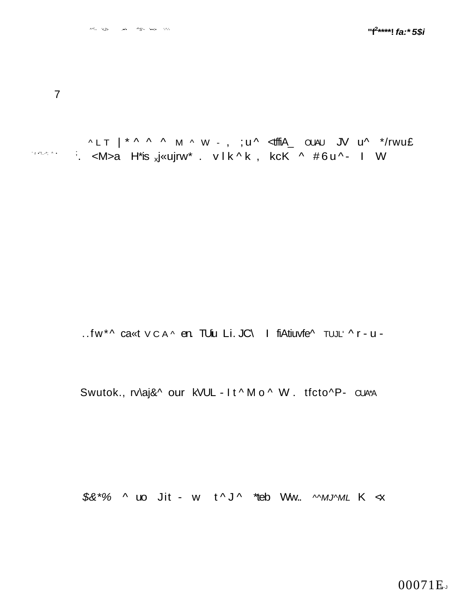### $\overline{7}$

^LT | \* ^ ^ ^ M ^ W -, ; u^ < toffiA\_ OUAU JV u^ \*/rwu£  $M^*$  :  $\sim$   $M > a$  H<sup>\*</sup>is  $x$ j«ujrw\*  $N$  vik^k, kcK ^ #6u^- I W

..fw\*^ ca«t v C A ^ en TUu Li.JC\ I fiAtiuvfe^ TUJL' ^ r - u -

Swutok., rv\aj&^ our kVUL - It^M o^ W. tfcto^P- CUA\*A

 $$8^{*}\%$  ^ up Jit - w t^J^ \*teb Ww.. MMJML K  $\ll$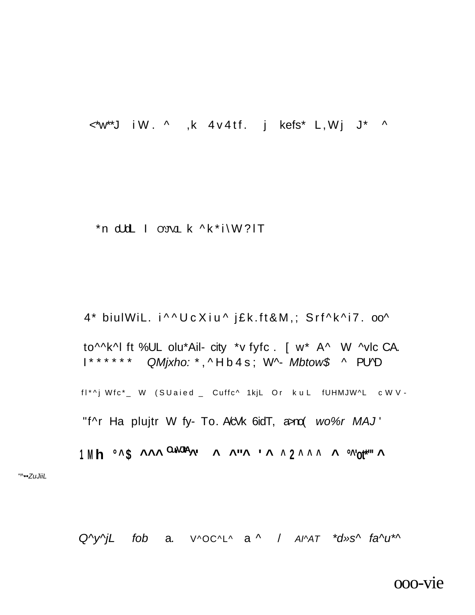<\*w\*\*J iW. ^ ,k 4v4tf. j kefs\* L,Wj J\* ^

\*n dd I onu k ^k\*i\W?IT

4\* biulWiL. i^^UcXiu^ j£k.ft&M,; Srf^k^i7. oo^ to^^k^l ft %UL olu\*Ail- city \*v fyfc. [ w\* A^ W ^vlc CA. I\*\*\*\*\*\* QMjxho: \*, ^ H b 4 s; W^- Mbtow\$ ^ PU^D fl\*^j Wfc\*\_ W (SUaied \_ Cuffc^ 1kjL Or kuL fUHMJW^L cWV-"f^r Ha plujtr W fy- To. ACVk 6idT, a>no( wo%r MAJ' 1 M  $h \circ A$  A A A  $\alpha$  A A  $h \circ A$  A  $\alpha$  A  $\alpha$  A  $\alpha$  A  $\alpha$  A  $\alpha$  A  $\alpha$  A  $\alpha$  A  $\alpha$  A  $\alpha$  A  $\alpha$  A  $\alpha$  A  $\alpha$  A  $\alpha$  A  $\alpha$  A  $\alpha$  A  $\alpha$  A  $\alpha$  A  $\alpha$  A  $\alpha$  A  $\alpha$  A  $\alpha$  A  $\alpha$  A  $\alpha$  A  $\alpha$  A  $\alpha$  A  $\alpha$  A  $\alpha$ 

"^••*7u.liil* 

Q^y^jL fob a. V^OC^L^ a ^ / AMAT \*d»s^ fa^u\*^

000-vie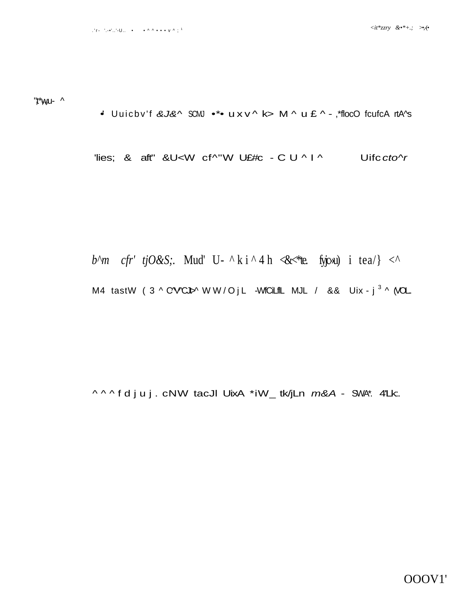$\langle it*z zry \& **.; \rightarrow.$ 

"t\*wu- ^

Uuicbv't & J&^ SCMJ .\*\* uxv^ k> M^ u £^-,\*flocO fcufcA rtA^s

'lies; & aft" &U<W cf^"W U£#c - C U ^ I ^ Uifc cto^r

 $b^{\wedge}m$  cfr' tjO&S;. Mud' U- ^ k i ^ 4 h <&<\*te. fyjpxu) i tea/} <^ M4 tastW (3 ^ CVCLA WW/OjL -WICLIL MJL / && Uix -  $j^3$  ^ MOL

^^^fdjuj.cNW tacJI UixA \*iW\_tk/jLn m&A - SWA\*. 4'Lk.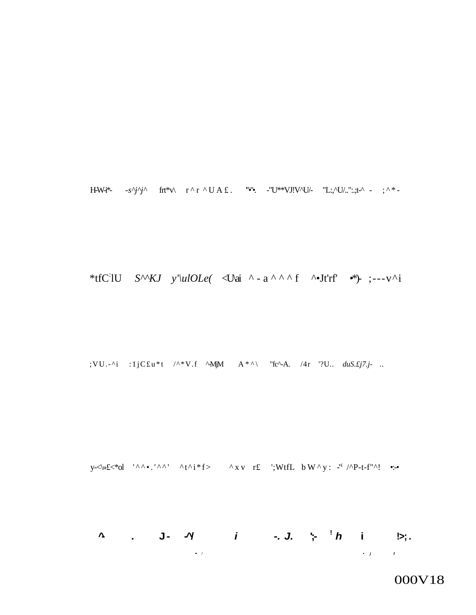

 $y \prec \text{dist} \text{ and } \text{dist} \text{ and } \text{dist} \text{ and } \text{dist} \text{ and } \text{dist} \text{ and } \text{dist} \text{ and } \text{dist} \text{ and } \text{dist} \text{ and } \text{dist} \text{ and } \text{dist} \text{ and } \text{dist} \text{ and } \text{dist} \text{ and } \text{dist} \text{ and } \text{dist} \text{ and } \text{dist} \text{ and } \text{dist} \text{ and } \text{dist} \text{ and } \text{dist} \text{ and } \text{dist} \text{ and } \text{dist} \text{ and } \text{dist} \text{ and } \text{dist} \text$ 

 $\hspace*{-1.5cm} \phantom{X} ; {\rm VU.-^Ai} \phantom{X} : 1 j{\rm C} \pounds u *t \quad \wedge * {\rm V.f} \quad \textrm{$^{\wedge}$ } {\rm MjM} \quad \quad A * \wedge \textrm{$\wedge$ } \phantom{X} 'f c \wedge A. \quad \wedge 4r \quad \textrm{$\wedge$ } 2U.. \quad du S. \pounds j7. j- \dots$ 

\*tfC'lU  $S^{\wedge\wedge}KJ$  y'\ulOLe( <U\ai ^ - a ^ ^ ^ f ^ ^Jt'rf' \*\*)- ;---v^i

 $\text{HWi*-}\qquad -s``j''j''\qquad \text{fit*} v\backslash \qquad r\wedge r\ \wedge\ U\text{A}\ \pounds\ .\qquad \text{``w''}\qquad \text{``U**} \text{VJI} \\ \text{V''U/}\qquad \text{``L:,'U/..'':}:t\text{-}^\wedge\ -\ \quad \text{``v''-}\ \text{``V''}:t\text{-}^\wedge\ -\ \quad \text{``v''-}\ \text{``V''}:t\text{-}^\wedge\ -\ \quad \text{``v''-}\ \text{``V''}:t\text{-}^\wedge\ -\ \quad \text{``v''-}\ \text{``v''-}\ \text{``v$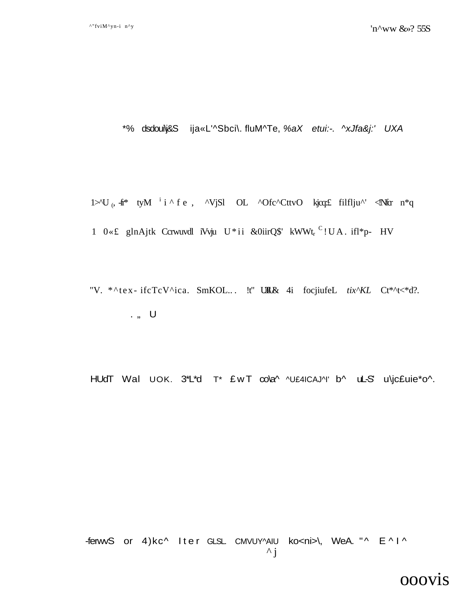\*% dsdouiy&S ija «L'^Sbci\. fluM^Te, %aX etui:-. ^xJfa&j:' UXA

 $1 \times U_0$ , fi<sup>\*</sup> tyM<sup>i</sup> i ^ f e, ^VjSl OL ^Ofc^CttvO kjcq£ filflju^' <Nfcr n\*q 1 0«£ glnAjtk Ccrwuvdl iVvju U\*ii &0iirQ\$' kWWt<sub>r</sub><sup>C</sup>!UA. ifl\*p- HV

"V. \*^tex-ifcTcV^ica. SmKOL... !t" UR& 4i focjiufeL tix^KL Ct\*^t<\*d?. .,, U

HUdT Wal UOK. 3\*L\*d T\* £wT cola^ ^U£4ICAJ^I' b^ uL-S uljc£uie\*o^.

-ferwS or 4) kc^ Iter GLSL CMVUY^AIU ko<ni>\, WeA. "^ E ^ I ^  $\wedge j$ 

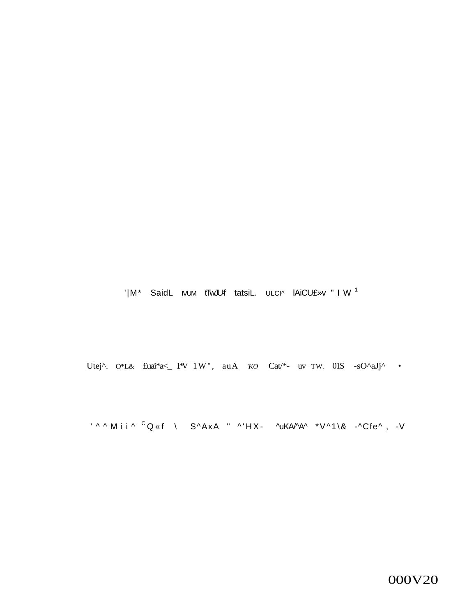'|M\* SaidL MUM flwUf tatsiL. ULCIA IAiCU£»v "IW<sup>1</sup>

Utej^. O\*L& fuai\*a<\_ 1\*V 1W", auA 'KO Cat/\*- uv TW. 01S -sO^aJj^ .

' ^ ^ M i i ^ C Q «f \ S^AxA " ^'H X - ^uKA^A^ \*V^1\& -^Cfe^, -V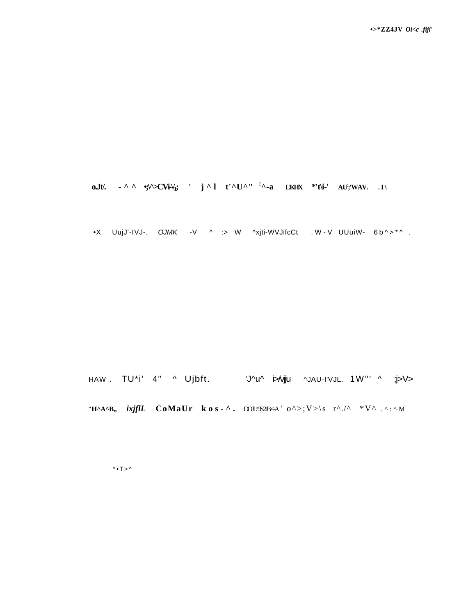**o.Jt/.**  $-\wedge \wedge \bullet; \wedge >$ CVi- $\vee_i;$   $j \wedge 1 \t i' \wedge U \wedge'' \wedge a$  LKHX \*'t|i-' AU;'WAV. .I

. X UujJ'-IVJ-. OJMK -V ^ :> W ^xjti-WVJifcCt .W-V UUuiW- 6b^>\*^

"H^A^B, ixjflL CoMaUr kos-^.  $\text{COL}^*$ S2B $\lt A$ ' o^>;V>\s r^./^ \*V^ .^:^M

 $\wedge \bullet T > \wedge$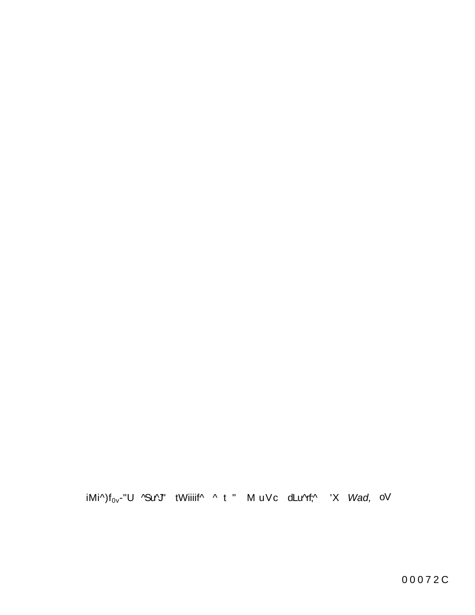iMi^)f<sub>ov</sub>-"U ^Su^J" tWiiiif^ ^ t " M uVc dLu^rf;^ 'X Wad, oV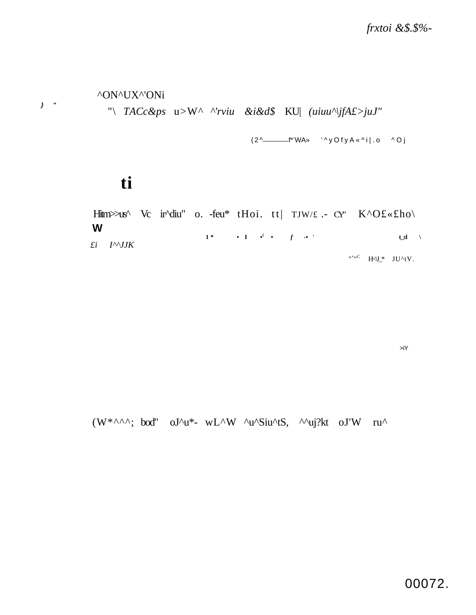### ^ON^UX^'ONi

 $\lambda$  .

"\ TACc&ps u>W^ ^'rviu &i&d\$ KU| (uiuu^\jfA£>juJ"

 $(2^{\wedge}$   $f^*WA^*$  ' $\wedge$ y Ofy A «  $\wedge$  i|. o  $\wedge$  Oj

### ti

Him $\gg$ us<sup>^</sup> Vc ir<sup>^</sup>diu" o. -feu\* tHoi. tt| TJW/£ .- CY" K<sup>^</sup>O£«£ho\ W  $1^*$  of  $\cdot$   $\cdot$   $f \rightarrow '$  $t \pm 1$  $f$ i I<sup> $\land$ </sup>JJK  $^{\mathsf{m}+\mathsf{n} \mathsf{C}}$   $\mathsf{H}\mathsf{L}\mathsf{L}^*$  JU^tV.

 $>\i{N}$ 

(W\*^^^; bod" oJ^u\*- wL^W ^u^Siu^tS, ^^uj?kt oJ'W ru^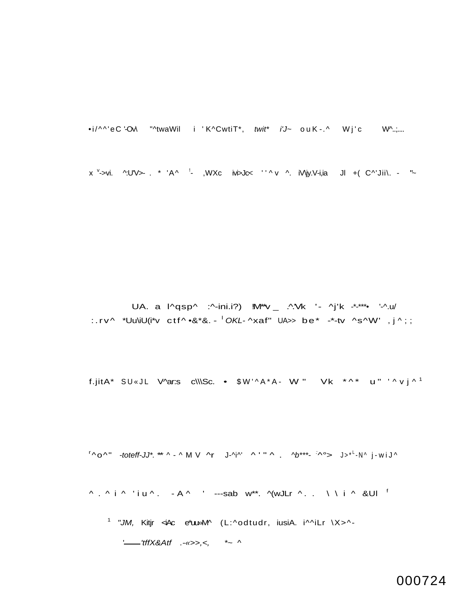<sup>1</sup> "JM, Kitjr <iAc e\*uu>M^ (L:^odtudr, iusiA. i^^iLr \X>^-'\_\_\_\_'tffX&Atf .-«>>,<,  $*$  ^

 $\wedge$ .  $\wedge$  i  $\wedge$  ' i u  $\wedge$ . -A  $\wedge$  ' ---sab w\*\*.  $\wedge$  wull  $\wedge$ .. \ \ i  $\wedge$  &UI <sup>f</sup>

 $N \circ N$  -toteff-JJ\*. \*\* ^ - ^ M V ^r J-^i^' ^ ' " ^ . ^b\*\*\*- '^ ~> J>\*<sup>L</sup>-N^ j-wiJ^

f.jitA\* SU«JL V^ar:s c\\\Sc. • \$W'^A\*A- W " Vk \*^\* u " '^vj^<sup>1</sup>

UA. a  $1^{\circ}$ qsp^ :^-ini.i?)  $1^{\circ}$  .^.Vk '- ^j'k -\*-\*\*\*\* '-^.u/ :.rv^ \*Uu\iU(i\*v ctf^  $\cdot$  &\*&. -  $\cdot$  OKL-^xaf" UA>> be\* -\*-tv ^s^W',j^;;

x '->vi. ^:U'V>- . \* 'A^ <sup>!</sup>- ,WXc ivi>Jc< ''^v ^. iV)jy.V-i,ia JI +( C^'Jii\. - "~

 $\bullet$ i/^^'eC '-OA "^twaWil i 'K^CwtiT\*, twit\* i'J~ ouK-.^ Wj'c W^..;....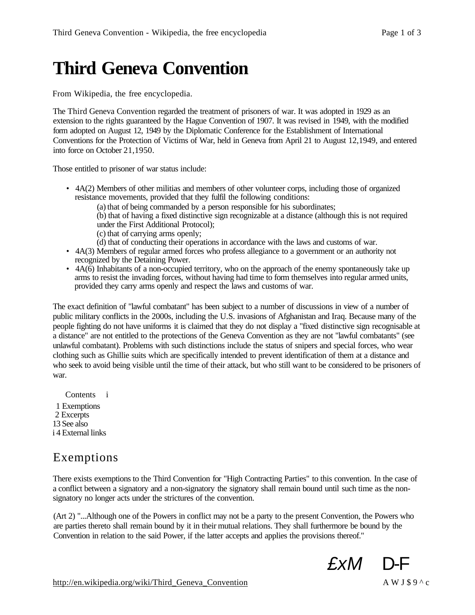## **Third Geneva Convention**

From Wikipedia, the free encyclopedia.

The Third Geneva Convention regarded the treatment of prisoners of war. It was adopted in 1929 as an extension to the rights guaranteed by the Hague Convention of 1907. It was revised in 1949, with the modified form adopted on August 12, 1949 by the Diplomatic Conference for the Establishment of International Conventions for the Protection of Victims of War, held in Geneva from April 21 to August 12,1949, and entered into force on October 21,1950.

Those entitled to prisoner of war status include:

- 4A(2) Members of other militias and members of other volunteer corps, including those of organized resistance movements, provided that they fulfil the following conditions:
	- (a) that of being commanded by a person responsible for his subordinates;
	- (b) that of having a fixed distinctive sign recognizable at a distance (although this is not required under the First Additional Protocol);
	- (c) that of carrying arms openly;
	- (d) that of conducting their operations in accordance with the laws and customs of war.
- 4A(3) Members of regular armed forces who profess allegiance to a government or an authority not recognized by the Detaining Power.
- 4A(6) Inhabitants of a non-occupied territory, who on the approach of the enemy spontaneously take up arms to resist the invading forces, without having had time to form themselves into regular armed units, provided they carry arms openly and respect the laws and customs of war.

The exact definition of "lawful combatant" has been subject to a number of discussions in view of a number of public military conflicts in the 2000s, including the U.S. invasions of Afghanistan and Iraq. Because many of the people fighting do not have uniforms it is claimed that they do not display a "fixed distinctive sign recognisable at a distance" are not entitled to the protections of the Geneva Convention as they are not "lawful combatants" (see unlawful combatant). Problems with such distinctions include the status of snipers and special forces, who wear clothing such as Ghillie suits which are specifically intended to prevent identification of them at a distance and who seek to avoid being visible until the time of their attack, but who still want to be considered to be prisoners of war.

Contents i 1 Exemptions 2 Excerpts 13 See also i 4 External links

### Exemptions

There exists exemptions to the Third Convention for "High Contracting Parties" to this convention. In the case of a conflict between a signatory and a non-signatory the signatory shall remain bound until such time as the nonsignatory no longer acts under the strictures of the convention.

(Art 2) "...Although one of the Powers in conflict may not be a party to the present Convention, the Powers who are parties thereto shall remain bound by it in their mutual relations. They shall furthermore be bound by the Convention in relation to the said Power, if the latter accepts and applies the provisions thereof."

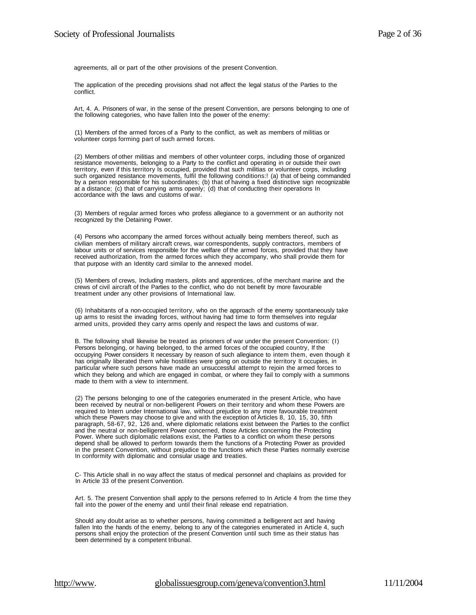agreements, all or part of the other provisions of the present Convention.

The application of the preceding provisions shad not affect the legal status of the Parties to the conflict.

Art, 4. A. Prisoners of war, in the sense of the present Convention, are persons belonging to one of the following categories, who have fallen Into the power of the enemy:

(1) Members of the armed forces of a Party to the conflict, as welt as members of militias or volunteer corps forming part of such armed forces.

(2) Members of other militias and members of other volunteer corps, including those of organized resistance movements, belonging to a Party to the conflict and operating in or outside their own territory, even if this territory Is occupied, provided that such militias or volunteer corps, including such organized resistance movements, fulfil the following conditions:! (a) that of being commanded by a person responsible for his subordinates; (b) that of having a fixed distinctive sign recognizable at a distance; (c) that of carrying arms openly; (d) that of conducting their operations In accordance with the laws and customs of war.

(3) Members of regular armed forces who profess allegiance to a government or an authority not recognized by the Detaining Power.

(4) Persons who accompany the armed forces without actually being members thereof, such as civilian members of military aircraft crews, war correspondents, supply contractors, members of labour units or of services responsible for the welfare of the armed forces, provided that they have received authorization, from the armed forces which they accompany, who shall provide them for that purpose with an Identity card similar to the annexed model.

(5) Members of crews, Including masters, pilots and apprentices, of the merchant marine and the crews of civil aircraft of the Parties to the conflict, who do not benefit by more favourable treatment under any other provisions of International law.

(6) Inhabitants of a non-occupied territory, who on the approach of the enemy spontaneously take up arms to resist the invading forces, without having had time to form themselves into regular armed units, provided they carry arms openly and respect the laws and customs of war.

B. The following shall likewise be treated as prisoners of war under the present Convention: (I) Persons belonging, or having belonged, to the armed forces of the occupied country, If the occupying Power considers It necessary by reason of such allegiance to intem them, even though it has originally liberated them while hostilities were going on outside the territory It occupies, in particular where such persons have made an unsuccessful attempt to rejoin the armed forces to which they belong and which are engaged in combat, or where they fail to comply with a summons made to them with a view to internment.

(2) The persons belonging to one of the categories enumerated in the present Article, who have been received by neutral or non-belligerent Powers on their territory and whom these Powers are required to Intern under International law, without prejudice to any more favourable treatment which these Powers may choose to give and with the exception of Articles 8, 10, 15, 30, fifth paragraph, 58-67, 92, 126 and, where diplomatic relations exist between the Parties to the conflict and the neutral or non-belligerent Power concerned, those Articles concerning the Protecting Power. Where such diplomatic relations exist, the Parties to a conflict on whom these persons depend shall be allowed to perform towards them the functions of a Protecting Power as provided in the present Convention, without prejudice to the functions which these Parties normally exercise In conformity with diplomatic and consular usage and treaties.

C- This Article shall in no way affect the status of medical personnel and chaplains as provided for In Article 33 of the present Convention.

Art. 5. The present Convention shall apply to the persons referred to In Article 4 from the time they fall into the power of the enemy and until their final release end repatriation.

Should any doubt arise as to whether persons, having committed a belligerent act and having fallen Into the hands of the enemy, belong to any of the categories enumerated in Article 4, such persons shall enjoy the protection of the present Convention until such time as their status has been determined by a competent tribunal.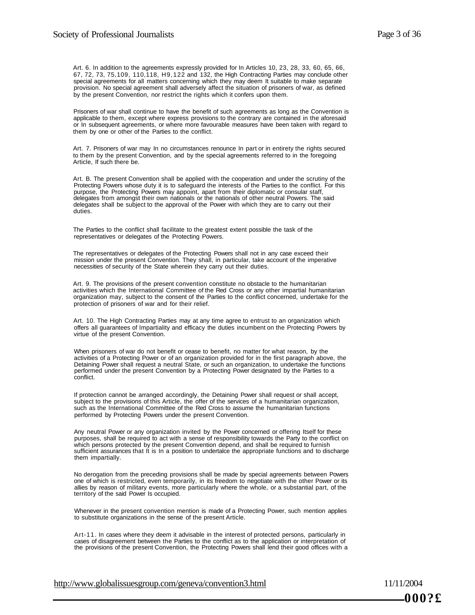Art. 6. In addition to the agreements expressly provided for In Articles 10, 23, 28, 33, 60, 65, 66, 67, 72, 73, 75,109, 110,118, H9,122 and 132, the High Contracting Parties may conclude other special agreements for all matters concerning which they may deem It suitable to make separate provision. No special agreement shall adversely affect the situation of prisoners of war, as defined by the present Convention, nor restrict the rights which it confers upon them.

Prisoners of war shall continue to have the benefit of such agreements as long as the Convention is applicable to them, except where express provisions to the contrary are contained in the aforesaid or In subsequent agreements, or where more favourable measures have been taken with regard to them by one or other of the Parties to the conflict.

Art. 7. Prisoners of war may In no circumstances renounce In part or in entirety the rights secured to them by the present Convention, and by the special agreements referred to in the foregoing Article, If such there be.

Art. B. The present Convention shall be applied with the cooperation and under the scrutiny of the Protecting Powers whose duty it is to safeguard the interests of the Parties to the conflict. For this purpose, the Protecting Powers may appoint, apart from their diplomatic or consular staff, delegates from amongst their own nationals or the nationals of other neutral Powers. The said delegates shall be subject to the approval of the Power with which they are to carry out their duties.

The Parties to the conflict shall facilitate to the greatest extent possible the task of the representatives or delegates of the Protecting Powers.

The representatives or delegates of the Protecting Powers shall not in any case exceed their mission under the present Convention. They shall, in particular, take account of the imperative necessities of security of the State wherein they carry out their duties.

Art. 9. The provisions of the present convention constitute no obstacle to the humanitarian activities which the International Committee of the Red Cross or any other impartial humanitarian organization may, subject to the consent of the Parties to the conflict concerned, undertake for the protection of prisoners of war and for their relief.

Art. 10. The High Contracting Parties may at any time agree to entrust to an organization which offers all guarantees of Impartiality and efficacy the duties incumbent on the Protecting Powers by virtue of the present Convention.

When prisoners of war do not benefit or cease to benefit, no matter for what reason, by the activities of a Protecting Power or of an organization provided for in the first paragraph above, the Detaining Power shall request a neutral State, or such an organization, to undertake the functions performed under the present Convention by a Protecting Power designated by the Parties to a conflict.

If protection cannot be arranged accordingly, the Detaining Power shall request or shall accept, subject to the provisions of this Article, the offer of the services of a humanitarian organization, such as the International Committee of the Red Cross to assume the humanitarian functions performed by Protecting Powers under the present Convention.

Any neutral Power or any organization invited by the Power concerned or offering Itself for these purposes, shall be required to act with a sense of responsibility towards the Party to the conflict on which persons protected by the present Convention depend, and shall be required to furnish sufficient assurances that It is In a position to undertalce the appropriate functions and to discharge them impartially.

No derogation from the preceding provisions shall be made by special agreements between Powers one of which is restricted, even temporarily, in its freedom to negotiate with the other Power or its allies by reason of military events, more particularly where the whole, or a substantial part, of the territory of the said Power Is occupied.

Whenever in the present convention mention is made of a Protecting Power, such mention applies to substitute organizations in the sense of the present Article.

Art-11. In cases where they deem it advisable in the interest of protected persons, particularly in cases of disagreement between the Parties to the conflict as to the application or interpretation of the provisions of the present Convention, the Protecting Powers shall lend their good offices with a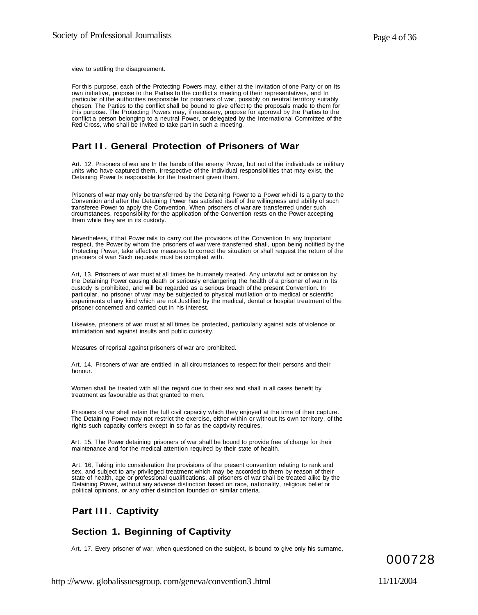view to settling the disagreement.

For this purpose, each of the Protecting Powers may, either at the invitation of one Party or on Its own initiative, propose to the Parties to the conflict s meeting of their representatives, and In particular of the authorities responsible for prisoners of war, possibly on neutral territory suitably chosen. The Parties to the conflict shall be bound to give effect to the proposals made to them for this purpose. The Protecting Powers may, if necessary, propose for approval by the Parties to the conflict a person belonging to a neutral Power, or delegated by the International Committee of the Red Cross, who shall be Invited to take part In such a meeting.

### **Part II . General Protection of Prisoners of War**

Art. 12. Prisoners of war are In the hands of the enemy Power, but not of the individuals or military units who have captured them. Irrespective of the Individual responsibilities that may exist, the Detaining Power Is responsible for the treatment given them.

Prisoners of war may only be transferred by the Detaining Power to a Power whidi Is a party to the Convention and after the Detaining Power has satisfied itself of the willingness and abifity of such transferee Power to apply the Convention. When prisoners of war are transferred under such drcumstanees, responsibility for the application of the Convention rests on the Power accepting them while they are in its custody.

Nevertheless, if that Power rails to carry out the provisions of the Convention In any Important respect, the Power by whom the prisoners of war were transferred shall, upon being notified by the Protecting Power, take effective measures to correct the situation or shall request the return of the prisoners of wan Such requests must be complied with.

Art, 13. Prisoners of war must at all times be humanely treated. Any unlawful act or omission by the Detaining Power causing death or seriously endangering the health of a prisoner of war in Its custody Is prohibited, and will be regarded as a serious breach of the present Convention. In particular, no prisoner of war may be subjected to physical mutilation or to medical or scientific experiments of any kind which are not Justified by the medical, dental or hospital treatment of the prisoner concerned and carried out in his interest.

Likewise, prisoners of war must at all times be protected, particularly against acts of violence or intimidation and against insults and public curiosity.

Measures of reprisal against prisoners of war are prohibited.

Art. 14. Prisoners of war are entitled in all circumstances to respect for their persons and their honour.

Women shall be treated with all the regard due to their sex and shall in all cases benefit by treatment as favourable as that granted to men.

Prisoners of war shell retain the full civil capacity which they enjoyed at the time of their capture. The Detaining Power may not restrict the exercise, either within or without Its own territory, of the rights such capacity confers except in so far as the captivity requires.

Art. 15. The Power detaining prisoners of war shall be bound to provide free of charge for their maintenance and for the medical attention required by their state of health.

Art. 16, Taking into consideration the provisions of the present convention relating to rank and sex, and subject to any privileged treatment which may be accorded to them by reason of their state of health, age or professional qualifications, all prisoners of war shall be treated alike by the Detaining Power, without any adverse distinction based on race, nationality, religious belief or political opinions, or any other distinction founded on similar criteria.

### **Part III . Captivity**

### **Section 1. Beginning of Captivity**

Art. 17. Every prisoner of war, when questioned on the subject, is bound to give only his surname,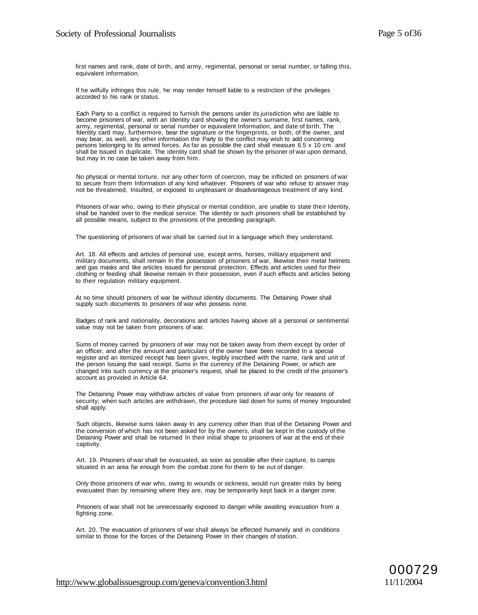first names and rank, date of birth, and army, regimental, personal or serial number, or falling this, equivalent information.

If he wilfully infringes this rule, he may render himself liable to a restriction of the privileges accorded to his rank or status.

Each Party to a conflict is required to furnish the persons under its jurisdiction who are liable to become prisoners of war, with an Identity card showing the owner's surname, first names, rank, army, regimental, personal or serial number or equivalent Information, and date of birth. The fdentity card may, furthermore, bear the signature or the fingerprints, or both, of the owner, and may bear, as well, any other information the Party to the conflict may wish to add concerning persons belonging to Its armed forces. As far as possible the card shall measure 6.5 x 10 cm. and shall be Issued in duplicate. The identity card shall be shown by the prisoner of war upon demand, but may In no case be taken away from him.

No physical or mental torture, nor any other form of coercion, may be inflicted on prisoners of war to secure from them Information of any kind whatever. Prisoners of war who refuse to answer may not be threatened, Insulted, or exposed to unpleasant or disadvantageous treatment of any kind.

Prisoners of war who, owing to their physical or mental condition, are unable to state their Identity, shall be handed over to the medical service. The identity or such prisoners shall be established by all possible means, subject to the provisions of the preceding paragraph.

The questioning of prisoners of war shall be carried out In a language which they understand.

Art. 18. All effects and articles of personal use, except arms, horses, military equipment and military documents, shall remain in the possession of prisoners of war, likewise their metal helmets and gas masks and like articles issued for personal protection. Effects and articles used for their clothing or feeding shall likewise remain In their possession, even if such effects and articles belong to their regulation military equipment.

At no time should prisoners of war be without identity documents. The Detaining Power shall supply such documents to prisoners of war who possess none.

Badges of rank and nationality, decorations and articles having above all a personal or sentimental value may not be taken from prisoners of war.

Sums of money carried by prisoners of war may not be taken away from them except by order of an officer, and after the amount and particulars of the owner have been recorded In a special register and an itemized receipt has been given, legibly inscribed with the name, rank and unit of the person Issuing the said receipt. Sums in the currency of the Detaining Power, or which are changed Into such currency at the prisoner's request, shall be placed to the credit of the prisoner's account as provided in Article 64.

The Detaining Power may withdraw articles of value from prisoners of war only for reasons of security; when such articles are withdrawn, the procedure laid down for sums of money Impounded shall apply.

Such objects, likewise sums taken away In any currency other than that of the Detaining Power and the conversion of which has not been asked for by the owners, shall be kept In the custody of the Detaining Power and shall be returned In their initial shape to prisoners of war at the end of their captivity.

Art. 19. Prisoners of war shall be evacuated, as soon as possible after their capture, to camps situated in an area far enough from the combat zone for them to be out of danger.

Only those prisoners of war who, owing to wounds or sickness, would run greater risks by being evacuated than by remaining where they are, may be temporarily kept back in a danger zone.

Prisoners of war shall not be unnecessarily exposed to danger while awaiting evacuation from a fighting zone.

Art. 20. The evacuation of prisoners of war shall always be effected humanely and in conditions similar to those for the forces of the Detaining Power In their changes of station.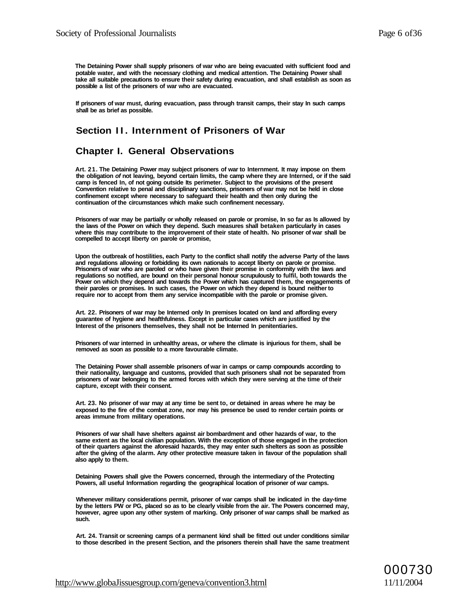**The Detaining Power shall supply prisoners of war who are being evacuated with sufficient food and potable water, and with the necessary clothing and medical attention. The Detaining Power shall take all suitable precautions to ensure their safety during evacuation, and shall establish as soon as possible a list of the prisoners of war who are evacuated.** 

**If prisoners of war must, during evacuation, pass through transit camps, their stay In such camps shall be as brief as possible.** 

### **Section II . Internment of Prisoners of War**

### **Chapter I. General Observations**

**Art. 21. The Detaining Power may subject prisoners of war to Internment. It may impose on them the obligation of not leaving, beyond certain limits, the camp where they are Interned, or if the said camp is fenced In, of not going outside Its perimeter. Subject to the provisions of the present Convention relative to penal and disciplinary sanctions, prisoners of war may not be held in close confinement except where necessary to safeguard their health and then only during the continuation of the circumstances which make such confinement necessary.** 

**Prisoners of war may be partially or wholly released on parole or promise, In so far as Is allowed by the laws of the Power on which they depend. Such measures shall betaken particularly in cases where this may contribute to the improvement of their state of health. No prisoner of war shall be compelled to accept liberty on parole or promise,** 

**Upon the outbreak of hostilities, each Party to the conflict shall notify the adverse Party of the laws and regulations allowing or forbidding its own nationals to accept liberty on parole or promise. Prisoners of war who are paroled or who have given their promise in conformity with the laws and regulations so notified, are bound on their personal honour scrupulously to fulfil, both towards the Power on which they depend and towards the Power which has captured them, the engagements of their paroles or promises. In such cases, the Power on which they depend is bound neither to require nor to accept from them any service incompatible with the parole or promise given.** 

**Art. 22. Prisoners of war may be Interned only In premises located on land and affording every guarantee of hygiene and heafthfulness. Except in particular cases which are justified by the Interest of the prisoners themselves, they shall not be Interned In penitentiaries.** 

**Prisoners of war interned in unhealthy areas, or where the climate is injurious for them, shall be removed as soon as possible to a more favourable climate.** 

**The Detaining Power shall assemble prisoners of war in camps or camp compounds according to their nationality, language and customs, provided that such prisoners shall not be separated from prisoners of war belonging to the armed forces with which they were serving at the time of their capture, except with their consent.** 

**Art. 23. No prisoner of war may at any time be sent to, or detained in areas where he may be exposed to the fire of the combat zone, nor may his presence be used to render certain points or areas immune from military operations.** 

**Prisoners of war shall have shelters against air bombardment and other hazards of war, to the same extent as the local civilian population. With the exception of those engaged in the protection of their quarters against the aforesaid hazards, they may enter such shelters as soon as possible after the giving of the alarm. Any other protective measure taken in favour of the population shall also apply to them.** 

**Detaining Powers shall give the Powers concerned, through the intermediary of the Protecting Powers, all useful Information regarding the geographical location of prisoner of war camps.** 

**Whenever military considerations permit, prisoner of war camps shall be indicated in the day-time by the letters PW or PG, placed so as to be clearly visible from the air. The Powers concerned may, however, agree upon any other system of marking. Only prisoner of war camps shall be marked as such.** 

**Art. 24. Transit or screening camps of a permanent kind shall be fitted out under conditions similar to those described in the present Section, and the prisoners therein shall have the same treatment**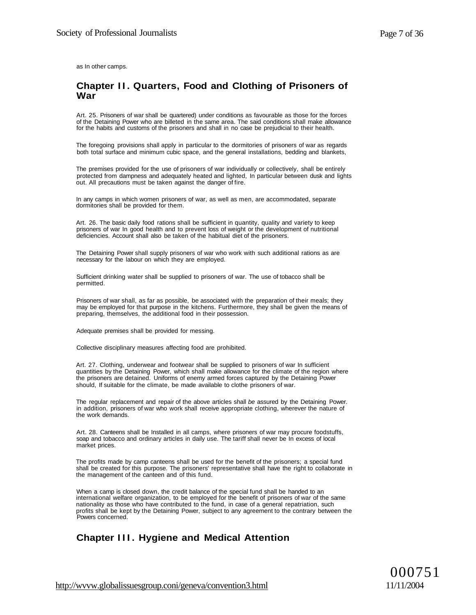as In other camps.

### **Chapter II . Quarters, Food and Clothing of Prisoners of War**

Art. 25. Prisoners of war shall be quartered) under conditions as favourable as those for the forces of the Detaining Power who are billeted in the same area. The said conditions shall make allowance for the habits and customs of the prisoners and shall in no case be prejudicial to their health.

The foregoing provisions shall apply in particular to the dormitories of prisoners of war as regards both total surface and minimum cubic space, and the general installations, bedding and blankets,

The premises provided for the use of prisoners of war individually or collectively, shall be entirely protected from dampness and adequately heated and lighted, In particular between dusk and lights out. All precautions must be taken against the danger of fire.

In any camps in which women prisoners of war, as well as men, are accommodated, separate dormitories shall be provided for them.

Art. 26. The basic daily food rations shall be sufficient in quantity, quality and variety to keep prisoners of war In good health and to prevent loss of weight or the development of nutritional deficiencies. Account shall also be taken of the habitual diet of the prisoners.

The Detaining Power shall supply prisoners of war who work with such additional rations as are necessary for the labour on which they are employed.

Sufficient drinking water shall be supplied to prisoners of war. The use of tobacco shall be permitted.

Prisoners of war shall, as far as possible, be associated with the preparation of their meals; they may be employed for that purpose in the kitchens. Furthermore, they shall be given the means of preparing, themselves, the additional food in their possession.

Adequate premises shall be provided for messing.

Collective disciplinary measures affecting food are prohibited.

Art. 27. Clothing, underwear and footwear shall be supplied to prisoners of war In sufficient quantities by the Detaining Power, which shall make allowance for the climate of the region where the prisoners are detained. Uniforms of enemy armed forces captured by the Detaining Power should, If suitable for the climate, be made available to clothe prisoners of war.

The regular replacement and repair of the above articles shall be assured by the Detaining Power. in addition, prisoners of war who work shall receive appropriate clothing, wherever the nature of the work demands.

Art. 28. Canteens shall be Installed in all camps, where prisoners of war may procure foodstuffs, soap and tobacco and ordinary articles in daily use. The tariff shall never be In excess of local market prices.

The profits made by camp canteens shall be used for the benefit of the prisoners; a special fund shall be created for this purpose. The prisoners' representative shall have the right to collaborate in the management of the canteen and of this fund.

When a camp is closed down, the credit balance of the special fund shall be handed to an international welfare organization, to be employed for the benefit of prisoners of war of the same nationality as those who have contributed to the fund, in case of a general repatriation, such profits shall be kept by the Detaining Power, subject to any agreement to the contrary between the Powers concerned.

### **Chapter III . Hygiene and Medical Attention**

000751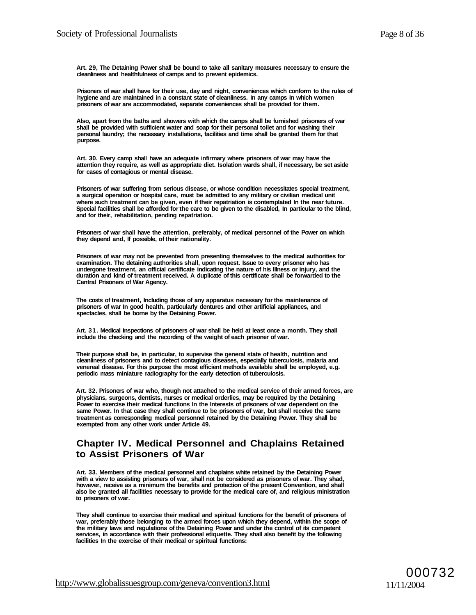**Art. 29, The Detaining Power shall be bound to take all sanitary measures necessary to ensure the cleanliness and healthfulness of camps and to prevent epidemics.** 

**Prisoners of war shall have for their use, day and night, conveniences which conform to the rules of hygiene and are maintained in a constant state of cleanliness. In any camps In which women prisoners of war are accommodated, separate conveniences shall be provided for them.** 

**Also, apart from the baths and showers with which the camps shall be furnished prisoners of war shall be provided with sufficient water and soap for their personal toilet and for washing their personal laundry; the necessary installations, facilities and time shall be granted them for that purpose.** 

**Art. 30. Every camp shall have an adequate infirmary where prisoners of war may have the attention they require, as well as appropriate diet. Isolation wards shall, if necessary, be set aside for cases of contagious or mental disease.** 

**Prisoners of war suffering from serious disease, or whose condition necessitates special treatment, a surgical operation or hospital care, must be admitted to any military or civilian medical unit where such treatment can be given, even if their repatriation is contemplated In the near future. Special facilities shall be afforded for the care to be given to the disabled, In particular to the blind, and for their, rehabilitation, pending repatriation.** 

**Prisoners of war shall have the attention, preferably, of medical personnel of the Power on which they depend and, If possible, of their nationality.** 

**Prisoners of war may not be prevented from presenting themselves to the medical authorities for examination. The detaining authorities shall, upon request. Issue to every prisoner who has undergone treatment, an official certificate indicating the nature of his Illness or injury, and the duration and kind of treatment received. A duplicate of this certificate shall be forwarded to the Central Prisoners of War Agency.** 

**The costs of treatment, Including those of any apparatus necessary for the maintenance of**  prisoners of war In good health, particularly dentures and other artificial appliances, and **spectacles, shall be borne by the Detaining Power.** 

**Art. 31. Medical inspections of prisoners of war shall be held at least once a month. They shall include the checking and the recording of the weight of each prisoner of war.** 

**Their purpose shall be, in particular, to supervise the general state of health, nutrition and cleanliness of prisoners and to detect contagious diseases, especially tuberculosis, malaria and venereal disease. For this purpose the most efficient methods available shall be employed, e.g. periodic mass miniature radiography for the early detection of tuberculosis.** 

**Art. 32. Prisoners of war who, though not attached to the medical service of their armed forces, are physicians, surgeons, dentists, nurses or medical orderlies, may be required by the Detaining Power to exercise their medical functions In the Interests of prisoners of war dependent on the same Power. In that case they shall continue to be prisoners of war, but shall receive the same treatment as corresponding medical personnel retained by the Detaining Power. They shall be exempted from any other work under Article 49.** 

### **Chapter IV. Medical Personnel and Chaplains Retained to Assist Prisoners of War**

**Art. 33. Members of the medical personnel and chaplains white retained by the Detaining Power with a view to assisting prisoners of war, shall not be considered as prisoners of war. They shad, however, receive as a minimum the benefits and protection of the present Convention, and shall also be granted all facilities necessary to provide for the medical care of, and religious ministration to prisoners of war.** 

**They shall continue to exercise their medical and spiritual functions for the benefit of prisoners of war, preferably those belonging to the armed forces upon which they depend, within the scope of the military laws and regulations of the Detaining Power and under the control of its competent services, in accordance with their professional etiquette. They shall also benefit by the following facilities In the exercise of their medical or spiritual functions:**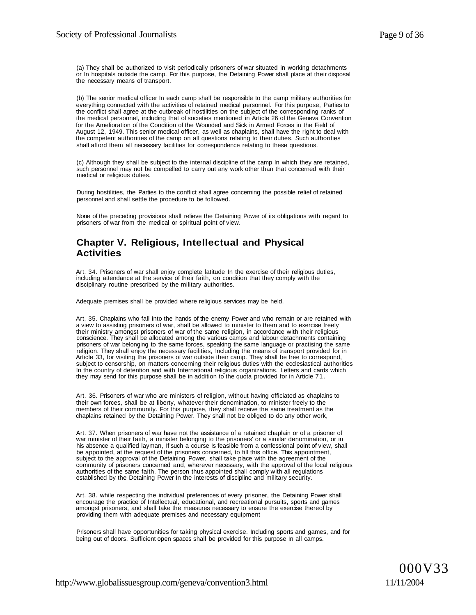(a) They shall be authorized to visit periodically prisoners of war situated in working detachments or In hospitals outside the camp. For this purpose, the Detaining Power shall place at their disposal the necessary means of transport.

(b) The senior medical officer In each camp shall be responsible to the camp military authorities for everything connected with the activities of retained medical personnel. For this purpose, Parties to the conflict shall agree at the outbreak of hostilities on the subject of the corresponding ranks of the medical personnel, including that of societies mentioned in Article 26 of the Geneva Convention for the Amelioration of the Condition of the Wounded and Sick in Armed Forces in the Field of August 12, 1949. This senior medical officer, as well as chaplains, shall have the right to deal with the competent authorities of the camp on all questions relating to their duties. Such authorities shall afford them all necessary facilities for correspondence relating to these questions.

(c) Although they shall be subject to the internal discipline of the camp In which they are retained, such personnel may not be compelled to carry out any work other than that concerned with their medical or religious duties.

During hostilities, the Parties to the conflict shall agree concerning the possible relief of retained personnel and shall settle the procedure to be followed.

None of the preceding provisions shall relieve the Detaining Power of its obligations with regard to prisoners of war from the medical or spiritual point of view.

### **Chapter V. Religious, Intellectual and Physical Activities**

Art. 34. Prisoners of war shall enjoy complete latitude In the exercise of their religious duties, including attendance at the service of their faith, on condition that they comply with the disciplinary routine prescribed by the military authorities.

Adequate premises shall be provided where religious services may be held.

Art, 35. Chaplains who fall into the hands of the enemy Power and who remain or are retained with a view to assisting prisoners of war, shall be allowed to minister to them and to exercise freely their ministry amongst prisoners of war of the same religion, in accordance with their religious conscience. They shall be allocated among the various camps and labour detachments containing prisoners of war belonging to the same forces, speaking the same language or practising the same religion. They shall enjoy the necessary facilities, Including the means of transport provided for in Article 33, for visiting the prisoners of war outside their camp. They shall be free to correspond, subject to censorship, on matters concerning their religious duties with the ecclesiastical authorities In the country of detention and with International religious organizations. Letters and cards which they may send for this purpose shall be in addition to the quota provided for in Article 71.

Art. 36. Prisoners of war who are ministers of religion, without having officiated as chaplains to their own forces, shall be at liberty, whatever their denomination, to minister freely to the members of their community. For this purpose, they shall receive the same treatment as the chaplains retained by the Detaining Power. They shall not be obliged to do any other work,

Art. 37. When prisoners of war have not the assistance of a retained chaplain or of a prisoner of war minister of their faith, a minister belonging to the prisoners' or a similar denomination, or in his absence a qualified layman, If such a course Is feasible from a confessional point of view, shall be appointed, at the request of the prisoners concerned, to fill this office. This appointment, subject to the approval of the Detaining Power, shall take place with the agreement of the community of prisoners concerned and, wherever necessary, with the approval of the local religious authorities of the same faith. The person thus appointed shall comply with all regulations established by the Detaining Power In the interests of discipline and military security.

Art. 38. while respecting the individual preferences of every prisoner, the Detaining Power shall encourage the practice of Intellectual, educational, and recreational pursuits, sports and games amongst prisoners, and shall take the measures necessary to ensure the exercise thereof by providing them with adequate premises and necessary equipment

Prisoners shall have opportunities for taking physical exercise. Including sports and games, and for being out of doors. Sufficient open spaces shall be provided for this purpose In all camps.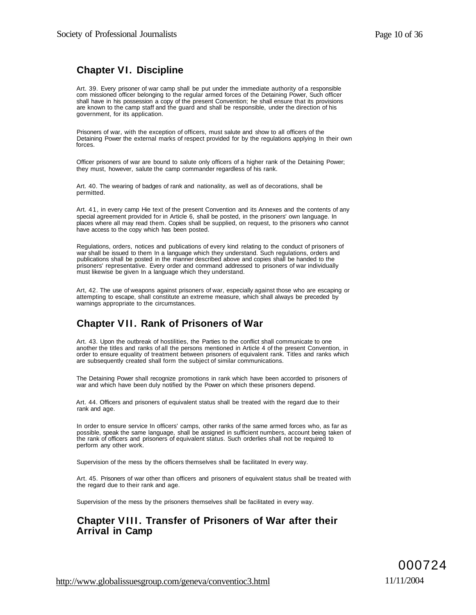### **Chapter VI. Discipline**

Art. 39. Every prisoner of war camp shall be put under the immediate authority of a responsible com missioned officer belonging to the regular armed forces of the Detaining Power, Such officer shall have in his possession a copy of the present Convention; he shall ensure that its provisions are known to the camp staff and the guard and shall be responsible, under the direction of his government, for its application.

Prisoners of war, with the exception of officers, must salute and show to all officers of the Detaining Power the external marks of respect provided for by the regulations applying In their own forces.

Officer prisoners of war are bound to salute only officers of a higher rank of the Detaining Power; they must, however, salute the camp commander regardless of his rank.

Art. 40. The wearing of badges of rank and nationality, as well as of decorations, shall be permitted.

Art. 41, in every camp Hie text of the present Convention and its Annexes and the contents of any special agreement provided for in Article 6, shall be posted, in the prisoners' own language. In places where all may read them. Copies shall be supplied, on request, to the prisoners who cannot have access to the copy which has been posted.

Regulations, orders, notices and publications of every kind relating to the conduct of prisoners of war shall be issued to them In a language which they understand. Such regulations, orders and publications shall be posted in the manner described above and copies shall be handed to the prisoners' representative. Every order and command addressed to prisoners of war individually must likewise be given In a language which they understand.

Art, 42. The use of weapons against prisoners of war, especially against those who are escaping or attempting to escape, shall constitute an extreme measure, which shall always be preceded by warnings appropriate to the circumstances.

### **Chapter VII . Rank of Prisoners of War**

Art. 43. Upon the outbreak of hostilities, the Parties to the conflict shall communicate to one another the titles and ranks of all the persons mentioned in Article 4 of the present Convention, in order to ensure equality of treatment between prisoners of equivalent rank. Titles and ranks which are subsequently created shall form the subject of similar communications.

The Detaining Power shall recognize promotions in rank which have been accorded to prisoners of war and which have been duly notified by the Power on which these prisoners depend.

Art. 44. Officers and prisoners of equivalent status shall be treated with the regard due to their rank and age.

In order to ensure service In officers' camps, other ranks of the same armed forces who, as far as possible, speak the same language, shall be assigned in sufficient numbers, account being taken of the rank of officers and prisoners of equivalent status. Such orderlies shall not be required to perform any other work.

Supervision of the mess by the officers themselves shall be facilitated In every way.

Art. 45. Prisoners of war other than officers and prisoners of equivalent status shall be treated with the regard due to their rank and age.

Supervision of the mess by the prisoners themselves shall be facilitated in every way.

### **Chapter VIII . Transfer of Prisoners of War after their Arrival in Camp**

000724 11/11/2004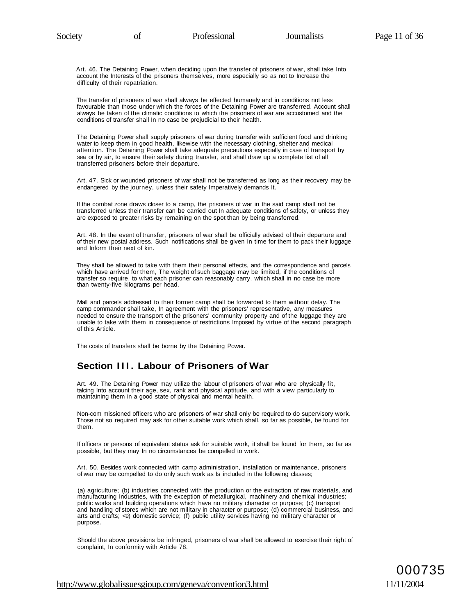Art. 46. The Detaining Power, when deciding upon the transfer of prisoners of war, shall take Into account the Interests of the prisoners themselves, more especially so as not to Increase the difficulty of their repatriation.

The transfer of prisoners of war shall always be effected humanely and in conditions not less favourable than those under which the forces of the Detaining Power are transferred. Account shall always be taken of the climatic conditions to which the prisoners of war are accustomed and the conditions of transfer shall In no case be prejudicial to their health.

The Detaining Power shall supply prisoners of war during transfer with sufficient food and drinking water to keep them in good health, likewise with the necessary clothing, shelter and medical attention. The Detaining Power shall take adequate precautions especially in case of transport by sea or by air, to ensure their safety during transfer, and shall draw up a complete list of all transferred prisoners before their departure.

Art. 47. Sick or wounded prisoners of war shall not be transferred as long as their recovery may be endangered by the journey, unless their safety Imperatively demands It.

If the combat zone draws closer to a camp, the prisoners of war in the said camp shall not be transferred unless their transfer can be carried out In adequate conditions of safety, or unless they are exposed to greater risks by remaining on the spot than by being transferred.

Art. 48. In the event of transfer, prisoners of war shall be officially advised of their departure and of their new postal address. Such notifications shall be given In time for them to pack their luggage and Inform their next of kin.

They shall be allowed to take with them their personal effects, and the correspondence and parcels which have arrived for them, The weight of such baggage may be limited, if the conditions of transfer so require, to what each prisoner can reasonably carry, which shall in no case be more than twenty-five kilograms per head.

Mall and parcels addressed to their former camp shall be forwarded to them without delay. The camp commander shall take, In agreement with the prisoners' representative, any measures needed to ensure the transport of the prisoners' community property and of the luggage they are unable to take with them in consequence of restrictions Imposed by virtue of the second paragraph of this Article.

The costs of transfers shall be borne by the Detaining Power.

### **Section III . Labour of Prisoners of War**

Art. 49. The Detaining Power may utilize the labour of prisoners of war who are physically fit, talcing Into account their age, sex, rank and physical aptitude, and with a view particularly to maintaining them in a good state of physical and mental health.

Non-com missioned officers who are prisoners of war shall only be required to do supervisory work. Those not so required may ask for other suitable work which shall, so far as possible, be found for them.

If officers or persons of equivalent status ask for suitable work, it shall be found for them, so far as possible, but they may In no circumstances be compelled to work.

Art. 50. Besides work connected with camp administration, installation or maintenance, prisoners of war may be compelled to do only such work as Is included in the following classes;

(a) agriculture; (b) industries connected with the production or the extraction of raw materials, and manufacturing Industries, with the exception of metallurgical, machinery and chemical industries; public works and building operations which have no military character or purpose; (c) transport and handling of stores which are not military in character or purpose; (d) commercial business, and arts and crafts; <e) domestic service; (f) public utility services having no military character or purpose.

Should the above provisions be infringed, prisoners of war shall be allowed to exercise their right of complaint, In conformity with Article 78.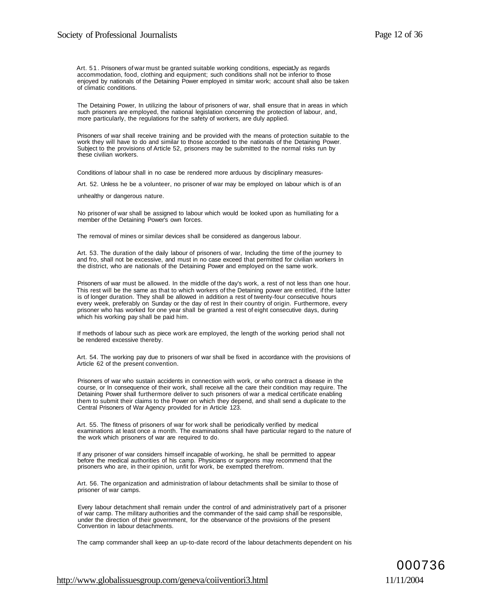#### Society of Professional Journalists **Page 12 of 36** Page 12 of 36

Art. 51. Prisoners of war must be granted suitable working conditions, especiatJy as regards accommodation, food, clothing and equipment; such conditions shall not be inferior to those enjoyed by nationals of the Detaining Power employed in simitar work; account shall also be taken of climatic conditions.

The Detaining Power, In utilizing the labour of prisoners of war, shall ensure that in areas in which such prisoners are employed, the national legislation concerning the protection of labour, and, more particularly, the regulations for the safety of workers, are duly applied.

Prisoners of war shall receive training and be provided with the means of protection suitable to the work they will have to do and similar to those accorded to the nationals of the Detaining Power. Subject to the provisions of Article 52, prisoners may be submitted to the normal risks run by these civilian workers.

Conditions of labour shall in no case be rendered more arduous by disciplinary measures-

Art. 52. Unless he be a volunteer, no prisoner of war may be employed on labour which is of an

unhealthy or dangerous nature.

No prisoner of war shall be assigned to labour which would be looked upon as humiliating for a member of the Detaining Power's own forces.

The removal of mines or similar devices shall be considered as dangerous labour.

Art. 53. The duration of the daily labour of prisoners of war, Including the time of the journey to and fro, shall not be excessive, and must in no case exceed that permitted for civilian workers In the district, who are nationals of the Detaining Power and employed on the same work.

Prisoners of war must be allowed. In the middle of the day's work, a rest of not less than one hour. This rest will be the same as that to which workers of the Detaining power are entitled, if the latter is of longer duration. They shall be allowed in addition a rest of twenty-four consecutive hours every week, preferably on Sunday or the day of rest In their country of origin. Furthermore, every prisoner who has worked for one year shall be granted a rest of eight consecutive days, during which his working pay shall be paid him.

If methods of labour such as piece work are employed, the length of the working period shall not be rendered excessive thereby.

Art. 54. The working pay due to prisoners of war shall be fixed in accordance with the provisions of Article 62 of the present convention.

Prisoners of war who sustain accidents in connection with work, or who contract a disease in the course, or In consequence of their work, shall receive all the care their condition may require. The Detaining Power shall furthermore deliver to such prisoners of war a medical certificate enabling them to submit their claims to the Power on which they depend, and shall send a duplicate to the Central Prisoners of War Agency provided for in Article 123.

Art. 55. The fitness of prisoners of war for work shall be periodically verified by medical examinations at least once a month. The examinations shall have particular regard to the nature of the work which prisoners of war are required to do.

If any prisoner of war considers himself incapable of working, he shall be permitted to appear before the medical authorities of his camp. Physicians or surgeons may recommend that the prisoners who are, in their opinion, unfit for work, be exempted therefrom.

Art. 56. The organization and administration of labour detachments shall be similar to those of prisoner of war camps.

Every labour detachment shall remain under the control of and administratively part of a prisoner of war camp. The military authorities and the commander of the said camp shall be responsible, under the direction of their government, for the observance of the provisions of the present Convention in labour detachments.

The camp commander shall keep an up-to-date record of the labour detachments dependent on his

<http://www.globalissuesgroup.com/geneva/coiiventiori3.html>11/11/2004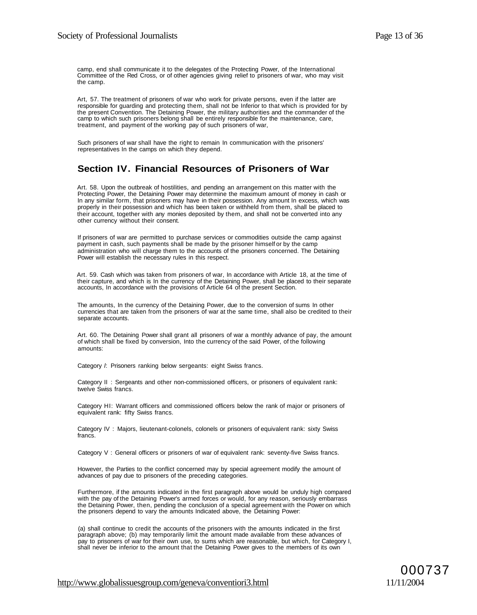camp, end shall communicate it to the delegates of the Protecting Power, of the International Committee of the Red Cross, or of other agencies giving relief to prisoners of war, who may visit the camp.

Art, 57. The treatment of prisoners of war who work for private persons, even if the latter are responsible for guarding and protecting them, shall not be Inferior to that which is provided for by the present Convention. The Detaining Power, the military authorities and the commander of the camp to which such prisoners belong shall be entirely responsible for the maintenance, care, treatment, and payment of the working pay of such prisoners of war,

Such prisoners of war shall have the right to remain In communication with the prisoners' representatives In the camps on which they depend.

### **Section IV. Financial Resources of Prisoners of War**

Art. 58. Upon the outbreak of hostilities, and pending an arrangement on this matter with the Protecting Power, the Detaining Power may determine the maximum amount of money in cash or In any similar form, that prisoners may have in their possession. Any amount In excess, which was properly in their possession and which has been taken or withheld from them, shall be placed to their account, together with any monies deposited by them, and shall not be converted into any other currency without their consent.

If prisoners of war are permitted to purchase services or commodities outside the camp against payment in cash, such payments shall be made by the prisoner himself or by the camp administration who will charge them to the accounts of the prisoners concerned. The Detaining Power will establish the necessary rules in this respect.

Art. 59. Cash which was taken from prisoners of war, In accordance with Article 18, at the time of their capture, and which is In the currency of the Detaining Power, shall be placed to their separate accounts, In accordance with the provisions of Article 64 of the present Section.

The amounts, In the currency of the Detaining Power, due to the conversion of sums In other currencies that are taken from the prisoners of war at the same time, shall also be credited to their separate accounts.

Art. 60. The Detaining Power shall grant all prisoners of war a monthly advance of pay, the amount of which shall be fixed by conversion, Into the currency of the said Power, of the following amounts:

Category l: Prisoners ranking below sergeants: eight Swiss francs.

Category II : Sergeants and other non-commissioned officers, or prisoners of equivalent rank: twelve Swiss francs.

Category HI: Warrant officers and commissioned officers below the rank of major or prisoners of equivalent rank: fifty Swiss francs.

Category IV : Majors, lieutenant-colonels, colonels or prisoners of equivalent rank: sixty Swiss francs.

Category V : General officers or prisoners of war of equivalent rank: seventy-five Swiss francs.

However, the Parties to the conflict concerned may by special agreement modify the amount of advances of pay due to prisoners of the preceding categories.

Furthermore, if the amounts indicated in the first paragraph above would be unduly high compared with the pay of the Detaining Power's armed forces or would, for any reason, seriously embarrass the Detaining Power, then, pending the conclusion of a special agreement with the Power on which the prisoners depend to vary the amounts Indicated above, the Detaining Power:

(a) shall continue to credit the accounts of the prisoners with the amounts indicated in the first paragraph above; (b) may temporarily limit the amount made available from these advances of pay to prisoners of war for their own use, to sums which are reasonable, but which, for Category I, shall never be inferior to the amount that the Detaining Power gives to the members of its own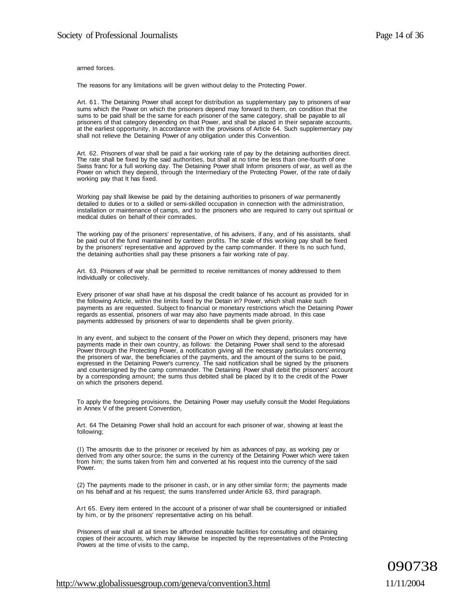armed forces.

The reasons for any limitations will be given without delay to the Protecting Power.

Art. 61. The Detaining Power shall accept for distribution as supplementary pay to prisoners of war sums which the Power on which the prisoners depend may forward to them, on condition that the sums to be paid shall be the same for each prisoner of the same category, shall be payable to all prisoners of that category depending on that Power, and shall be placed in their separate accounts, at the earliest opportunity, In accordance with the provisions of Article 64. Such supplementary pay shall not relieve the Detaining Power of any obligation under this Convention.

Art. 62. Prisoners of war shall be paid a fair working rate of pay by the detaining authorities direct. The rate shall be fixed by the said authorities, but shall at no time be less than one-fourth of one Swiss franc for a full working day. The Detaining Power shall Inform prisoners of war, as well as the Power on which they depend, through the Intermediary of the Protecting Power, of the rate of daily working pay that It has fixed.

Working pay shall likewise be paid by the detaining authorities to prisoners of war permanently detailed to duties or to a skilled or semi-skilled occupation in connection with the administration, installation or maintenance of camps, and to the prisoners who are required to carry out spiritual or medical duties on behalf of their comrades.

The working pay of the prisoners' representative, of his advisers, if any, and of his assistants, shall be paid out of the fund maintained by canteen profits. The scale of this working pay shall be fixed by the prisoners' representative and approved by the camp commander. If there Is no such fund, the detaining authorities shall pay these prisoners a fair working rate of pay.

Art. 63. Prisoners of war shall be permitted to receive remittances of money addressed to them Individually or collectively.

Every prisoner of war shall have at his disposal the credit balance of his account as provided for in the following Article, within the limits fixed by the Detain in? Power, which shall make such payments as are requested. Subject to financial or monetary restrictions which the Detaining Power regards as essential, prisoners of war may also have payments made abroad. In this case payments addressed by prisoners of war to dependents shall be given priority.

In any event, and subject to the consent of the Power on which they depend, prisoners may have payments made in their own country, as follows: the Detaining Power shall send to the aforesaid Power through the Protecting Power, a notification giving all the necessary particulars concerning the prisoners of war, the beneficiaries of the payments, and the amount of the sums to be paid, expressed in the Detaining Power's currency. The said notification shall be signed by the prisoners and countersigned by the camp commander. The Detaining Power shall debit the prisoners' account by a corresponding amount; the sums thus debited shall be placed by It to the credit of the Power on which the prisoners depend.

To apply the foregoing provisions, the Detaining Power may usefully consult the Model Regulations in Annex V of the present Convention,

Art. 64 The Detaining Power shall hold an account for each prisoner of war, showing at least the following;

(l) The amounts due to the prisoner or received by him as advances of pay, as working pay or derived from any other source; the sums in the currency of the Detaining Power which were taken from him; the sums taken from him and converted at his request into the currency of the said Power.

(2) The payments made to the prisoner in cash, or in any other similar form; the payments made on his behalf and at his request; the sums transferred under Article 63, third paragraph.

Art 65. Every item entered In the account of a prisoner of war shall be countersigned or initialled by him, or by the prisoners' representative acting on his behalf.

Prisoners of war shall at ail times be afforded reasonable facilities for consulting and obtaining copies of their accounts, which may likewise be inspected by the representatives of the Protecting Powers at the time of visits to the camp,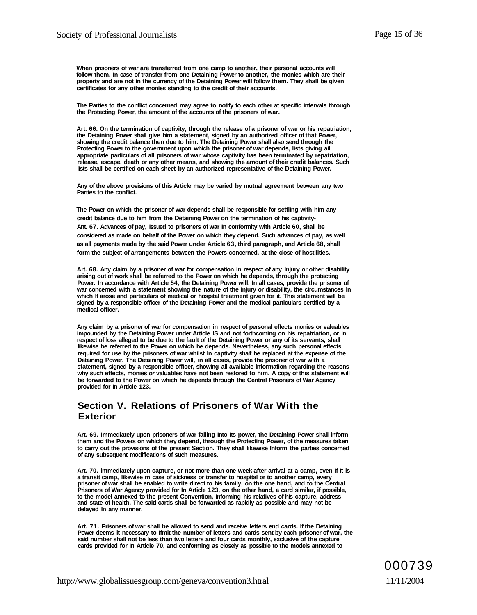**When prisoners of war are transferred from one camp to another, their personal accounts will**  follow them. In case of transfer from one Detaining Power to another, the monies which are their **property and are not in the currency of the Detaining Power will follow them. They shall be given certificates for any other monies standing to the credit of their accounts.** 

**The Parties to the conflict concerned may agree to notify to each other at specific intervals through the Protecting Power, the amount of the accounts of the prisoners of war.** 

**Art. 66. On the termination of captivity, through the release of a prisoner of war or his repatriation, the Detaining Power shall give him a statement, signed by an authorized officer of that Power, showing the credit balance then due to him. The Detaining Power shall also send through the Protecting Power to the government upon which the prisoner of war depends, lists giving ail appropriate particulars of all prisoners of war whose captivity has been terminated by repatriation, release, escape, death or any other means, and showing the amount of their credit balances. Such lists shall be certified on each sheet by an authorized representative of the Detaining Power.** 

**Any of the above provisions of this Article may be varied by mutual agreement between any two Parties to the conflict.** 

**The Power on which the prisoner of war depends shall be responsible for settling with him any credit balance due to him from the Detaining Power on the termination of his captivity-Ant. 67. Advances of pay, Issued to prisoners of war In conformity with Article 60, shall be considered as made on behalf of the Power on which they depend. Such advances of pay, as well as all payments made by the said Power under Article 63, third paragraph, and Article 68, shall form the subject of arrangements between the Powers concerned, at the close of hostilities.** 

**Art. 68. Any claim by a prisoner of war for compensation in respect of any Injury or other disability arising out of work shall be referred to the Power on which he depends, through the protecting Power. In accordance with Article 54, the Detaining Power will, In all cases, provide the prisoner of war concerned with a statement showing the nature of the injury or disability, the circumstances In which It arose and particulars of medical or hospital treatment given for it. This statement will be signed by a responsible officer of the Detaining Power and the medical particulars certified by a medical officer.** 

**Any claim by a prisoner of war for compensation in respect of personal effects monies or valuables impounded by the Detaining Power under Article IS and not forthcoming on his repatriation, or in respect of loss alleged to be due to the fault of the Detaining Power or any of its servants, shall likewise be referred to the Power on which he depends. Nevertheless, any such personal effects**  required for use by the prisoners of war whilst In captivity shalf be replaced at the expense of the **Detaining Power. The Detaining Power will, in all cases, provide the prisoner of war with a statement, signed by a responsible officer, showing all available Information regarding the reasons why such effects, monies or valuables have not been restored to him. A copy of this statement will be forwarded to the Power on which he depends through the Central Prisoners of War Agency provided for In Article 123.** 

### **Section V. Relations of Prisoners of War With the Exterior**

**Art. 69. Immediately upon prisoners of war falling Into Its power, the Detaining Power shall inform them and the Powers on which they depend, through the Protecting Power, of the measures taken to carry out the provisions of the present Section. They shall likewise Inform the parties concerned of any subsequent modifications of such measures.** 

**Art. 70. immediately upon capture, or not more than one week after arrival at a camp, even If It is a transit camp, likewise m case of sickness or transfer to hospital or to another camp, every prisoner of war shall be enabled to write direct to his family, on the one hand, and to the Central Prisoners of War Agency provided for In Article 123, on the other hand, a card similar, if possible, to the model annexed to the present Convention, informing his relatives of his capture, address and state of health. The said cards shall be forwarded as rapidly as possible and may not be delayed In any manner.** 

**Art. 71. Prisoners of war shall be allowed to send and receive letters end cards. If the Detaining Power deems it necessary to Ifmit the number of letters and cards sent by each prisoner of war, the said number shall not be less than two letters and four cards monthly, exclusive of the capture cards provided for In Article 70, and conforming as closely as possible to the models annexed to**